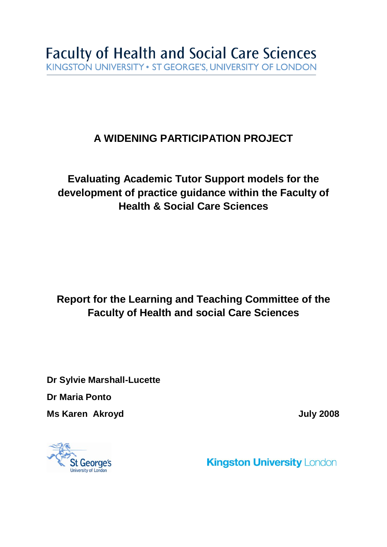# **A WIDENING PARTICIPATION PROJECT**

# **Evaluating Academic Tutor Support models for the development of practice guidance within the Faculty of Health & Social Care Sciences**

# **Report for the Learning and Teaching Committee of the Faculty of Health and social Care Sciences**

**Dr Sylvie Marshall-Lucette Dr Maria Ponto Ms Karen Akroyd Ms Karen Akroyd July 2008** 



**Kingston University London**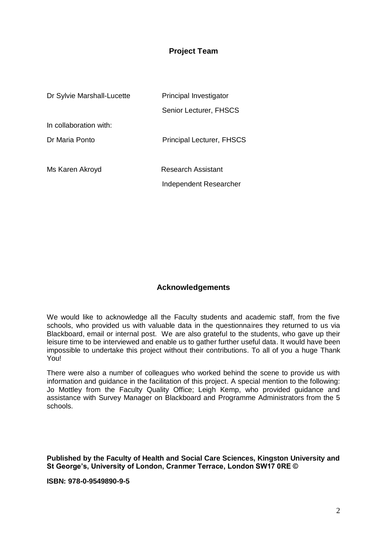#### **Project Team**

| Dr Sylvie Marshall-Lucette | Principal Investigator           |  |  |
|----------------------------|----------------------------------|--|--|
|                            | Senior Lecturer, FHSCS           |  |  |
| In collaboration with:     |                                  |  |  |
| Dr Maria Ponto             | <b>Principal Lecturer, FHSCS</b> |  |  |
|                            |                                  |  |  |
| Ms Karen Akroyd            | Research Assistant               |  |  |
|                            | Independent Researcher           |  |  |

#### **Acknowledgements**

We would like to acknowledge all the Faculty students and academic staff, from the five schools, who provided us with valuable data in the questionnaires they returned to us via Blackboard, email or internal post. We are also grateful to the students, who gave up their leisure time to be interviewed and enable us to gather further useful data. It would have been impossible to undertake this project without their contributions. To all of you a huge Thank You!

There were also a number of colleagues who worked behind the scene to provide us with information and guidance in the facilitation of this project. A special mention to the following: Jo Mottley from the Faculty Quality Office; Leigh Kemp, who provided guidance and assistance with Survey Manager on Blackboard and Programme Administrators from the 5 schools.

**Published by the Faculty of Health and Social Care Sciences, Kingston University and St George's, University of London, Cranmer Terrace, London SW17 0RE ©**

**ISBN: 978-0-9549890-9-5**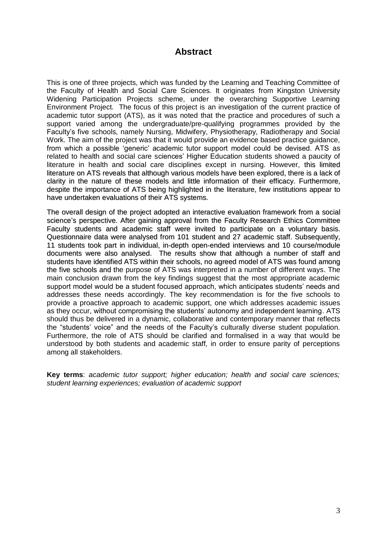## **Abstract**

This is one of three projects, which was funded by the Learning and Teaching Committee of the Faculty of Health and Social Care Sciences. It originates from Kingston University Widening Participation Projects scheme, under the overarching Supportive Learning Environment Project. The focus of this project is an investigation of the current practice of academic tutor support (ATS), as it was noted that the practice and procedures of such a support varied among the undergraduate/pre-qualifying programmes provided by the Faculty"s five schools, namely Nursing, Midwifery, Physiotherapy, Radiotherapy and Social Work. The aim of the project was that it would provide an evidence based practice guidance, from which a possible "generic" academic tutor support model could be devised. ATS as related to health and social care sciences" Higher Education students showed a paucity of literature in health and social care disciplines except in nursing. However, this limited literature on ATS reveals that although various models have been explored, there is a lack of clarity in the nature of these models and little information of their efficacy. Furthermore, despite the importance of ATS being highlighted in the literature, few institutions appear to have undertaken evaluations of their ATS systems.

The overall design of the project adopted an interactive evaluation framework from a social science"s perspective. After gaining approval from the Faculty Research Ethics Committee Faculty students and academic staff were invited to participate on a voluntary basis. Questionnaire data were analysed from 101 student and 27 academic staff. Subsequently, 11 students took part in individual, in-depth open-ended interviews and 10 course/module documents were also analysed. The results show that although a number of staff and students have identified ATS within their schools, no agreed model of ATS was found among the five schools and the purpose of ATS was interpreted in a number of different ways. The main conclusion drawn from the key findings suggest that the most appropriate academic support model would be a student focused approach, which anticipates students' needs and addresses these needs accordingly. The key recommendation is for the five schools to provide a proactive approach to academic support, one which addresses academic issues as they occur, without compromising the students' autonomy and independent learning. ATS should thus be delivered in a dynamic, collaborative and contemporary manner that reflects the "students" voice" and the needs of the Faculty"s culturally diverse student population. Furthermore, the role of ATS should be clarified and formalised in a way that would be understood by both students and academic staff, in order to ensure parity of perceptions among all stakeholders.

**Key terms**: *academic tutor support; higher education; health and social care sciences; student learning experiences; evaluation of academic support*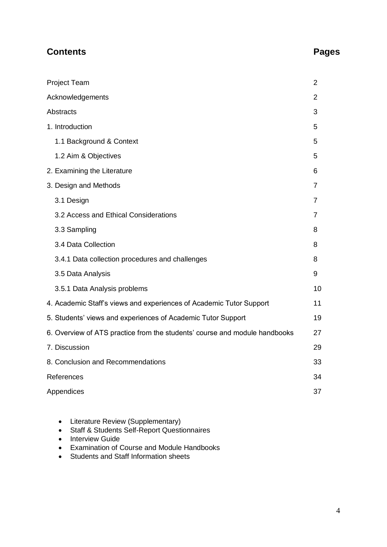# **Contents Pages**

| <b>Project Team</b>                                                        | $\overline{2}$ |
|----------------------------------------------------------------------------|----------------|
| Acknowledgements                                                           | 2              |
| Abstracts                                                                  | 3              |
| 1. Introduction                                                            | 5              |
| 1.1 Background & Context                                                   | 5              |
| 1.2 Aim & Objectives                                                       | 5              |
| 2. Examining the Literature                                                | 6              |
| 3. Design and Methods                                                      | 7              |
| 3.1 Design                                                                 | 7              |
| 3.2 Access and Ethical Considerations                                      | 7              |
| 3.3 Sampling                                                               | 8              |
| 3.4 Data Collection                                                        | 8              |
| 3.4.1 Data collection procedures and challenges                            | 8              |
| 3.5 Data Analysis                                                          | 9              |
| 3.5.1 Data Analysis problems                                               | 10             |
| 4. Academic Staff's views and experiences of Academic Tutor Support        | 11             |
| 5. Students' views and experiences of Academic Tutor Support               | 19             |
| 6. Overview of ATS practice from the students' course and module handbooks | 27             |
| 7. Discussion                                                              | 29             |
| 8. Conclusion and Recommendations                                          | 33             |
| References                                                                 | 34             |
| Appendices                                                                 | 37             |

- Literature Review (Supplementary)
- Staff & Students Self-Report Questionnaires
- Interview Guide
- Examination of Course and Module Handbooks
- Students and Staff Information sheets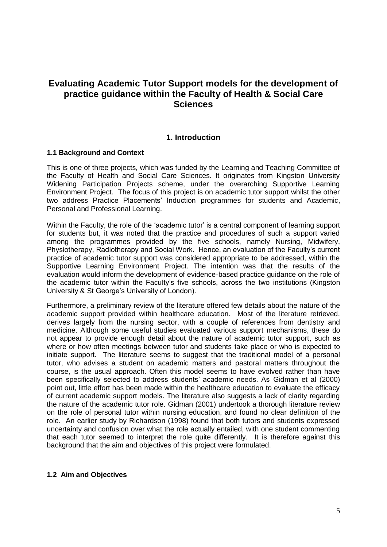## **Evaluating Academic Tutor Support models for the development of practice guidance within the Faculty of Health & Social Care Sciences**

#### **1. Introduction**

#### **1.1 Background and Context**

This is one of three projects, which was funded by the Learning and Teaching Committee of the Faculty of Health and Social Care Sciences. It originates from Kingston University Widening Participation Projects scheme, under the overarching Supportive Learning Environment Project. The focus of this project is on academic tutor support whilst the other two address Practice Placements" Induction programmes for students and Academic, Personal and Professional Learning.

Within the Faculty, the role of the "academic tutor" is a central component of learning support for students but, it was noted that the practice and procedures of such a support varied among the programmes provided by the five schools, namely Nursing, Midwifery, Physiotherapy, Radiotherapy and Social Work. Hence, an evaluation of the Faculty"s current practice of academic tutor support was considered appropriate to be addressed, within the Supportive Learning Environment Project. The intention was that the results of the evaluation would inform the development of evidence-based practice guidance on the role of the academic tutor within the Faculty"s five schools, across the two institutions (Kingston University & St George's University of London).

Furthermore, a preliminary review of the literature offered few details about the nature of the academic support provided within healthcare education. Most of the literature retrieved, derives largely from the nursing sector, with a couple of references from dentistry and medicine. Although some useful studies evaluated various support mechanisms, these do not appear to provide enough detail about the nature of academic tutor support, such as where or how often meetings between tutor and students take place or who is expected to initiate support. The literature seems to suggest that the traditional model of a personal tutor, who advises a student on academic matters and pastoral matters throughout the course, is the usual approach. Often this model seems to have evolved rather than have been specifically selected to address students" academic needs. As Gidman et al (2000) point out, little effort has been made within the healthcare education to evaluate the efficacy of current academic support models. The literature also suggests a lack of clarity regarding the nature of the academic tutor role. Gidman (2001) undertook a thorough literature review on the role of personal tutor within nursing education, and found no clear definition of the role. An earlier study by Richardson (1998) found that both tutors and students expressed uncertainty and confusion over what the role actually entailed, with one student commenting that each tutor seemed to interpret the role quite differently. It is therefore against this background that the aim and objectives of this project were formulated.

#### **1.2 Aim and Objectives**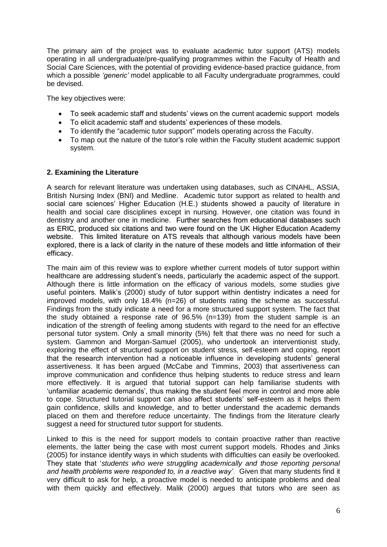The primary aim of the project was to evaluate academic tutor support (ATS) models operating in all undergraduate/pre-qualifying programmes within the Faculty of Health and Social Care Sciences, with the potential of providing evidence-based practice guidance, from which a possible *"generic"* model applicable to all Faculty undergraduate programmes, could be devised.

The key objectives were:

- To seek academic staff and students' views on the current academic support models
- To elicit academic staff and students' experiences of these models.
- To identify the "academic tutor support" models operating across the Faculty.
- To map out the nature of the tutor's role within the Faculty student academic support system.

#### **2. Examining the Literature**

A search for relevant literature was undertaken using databases, such as CINAHL, ASSIA, British Nursing Index (BNI) and Medline. Academic tutor support as related to health and social care sciences' Higher Education (H.E.) students showed a paucity of literature in health and social care disciplines except in nursing. However, one citation was found in dentistry and another one in medicine. Further searches from educational databases such as ERIC, produced six citations and two were found on the UK Higher Education Academy website. This limited literature on ATS reveals that although various models have been explored, there is a lack of clarity in the nature of these models and little information of their efficacy.

The main aim of this review was to explore whether current models of tutor support within healthcare are addressing student"s needs, particularly the academic aspect of the support. Although there is little information on the efficacy of various models, some studies give useful pointers. Malik's (2000) study of tutor support within dentistry indicates a need for improved models, with only 18.4% (n=26) of students rating the scheme as successful. Findings from the study indicate a need for a more structured support system. The fact that the study obtained a response rate of 96.5% (n=139) from the student sample is an indication of the strength of feeling among students with regard to the need for an effective personal tutor system. Only a small minority (5%) felt that there was no need for such a system. Gammon and Morgan-Samuel (2005), who undertook an interventionist study, exploring the effect of structured support on student stress, self-esteem and coping, report that the research intervention had a noticeable influence in developing students" general assertiveness. It has been argued (McCabe and Timmins, 2003) that assertiveness can improve communication and confidence thus helping students to reduce stress and learn more effectively. It is argued that tutorial support can help familiarise students with 'unfamiliar academic demands', thus making the student feel more in control and more able to cope. Structured tutorial support can also affect students" self-esteem as it helps them gain confidence, skills and knowledge, and to better understand the academic demands placed on them and therefore reduce uncertainty. The findings from the literature clearly suggest a need for structured tutor support for students.

Linked to this is the need for support models to contain proactive rather than reactive elements, the latter being the case with most current support models. Rhodes and Jinks (2005) for instance identify ways in which students with difficulties can easily be overlooked. They state that "*students who were struggling academically and those reporting personal and health problems were responded to, in a reactive way"*. Given that many students find it very difficult to ask for help, a proactive model is needed to anticipate problems and deal with them quickly and effectively. Malik (2000) argues that tutors who are seen as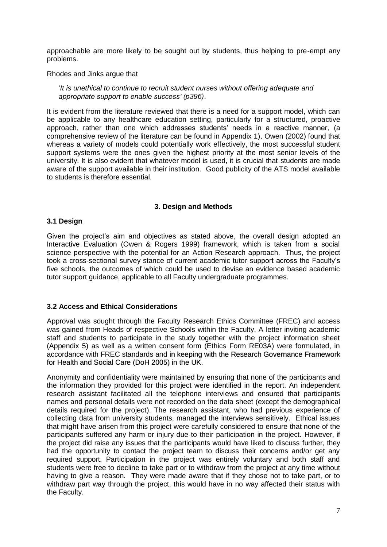approachable are more likely to be sought out by students, thus helping to pre-empt any problems.

Rhodes and Jinks argue that

"*It is unethical to continue to recruit student nurses without offering adequate and appropriate support to enable success" (p396)*.

It is evident from the literature reviewed that there is a need for a support model, which can be applicable to any healthcare education setting, particularly for a structured, proactive approach, rather than one which addresses students' needs in a reactive manner, (a comprehensive review of the literature can be found in Appendix 1). Owen (2002) found that whereas a variety of models could potentially work effectively, the most successful student support systems were the ones given the highest priority at the most senior levels of the university. It is also evident that whatever model is used, it is crucial that students are made aware of the support available in their institution. Good publicity of the ATS model available to students is therefore essential.

#### **3. Design and Methods**

#### **3.1 Design**

Given the project's aim and objectives as stated above, the overall design adopted an Interactive Evaluation (Owen & Rogers 1999) framework, which is taken from a social science perspective with the potential for an Action Research approach. Thus, the project took a cross-sectional survey stance of current academic tutor support across the Faculty"s five schools, the outcomes of which could be used to devise an evidence based academic tutor support guidance, applicable to all Faculty undergraduate programmes.

#### **3.2 Access and Ethical Considerations**

Approval was sought through the Faculty Research Ethics Committee (FREC) and access was gained from Heads of respective Schools within the Faculty. A letter inviting academic staff and students to participate in the study together with the project information sheet (Appendix 5) as well as a written consent form (Ethics Form RE03A) were formulated, in accordance with FREC standards and in keeping with the Research Governance Framework for Health and Social Care (DoH 2005) in the UK.

Anonymity and confidentiality were maintained by ensuring that none of the participants and the information they provided for this project were identified in the report. An independent research assistant facilitated all the telephone interviews and ensured that participants names and personal details were not recorded on the data sheet (except the demographical details required for the project). The research assistant, who had previous experience of collecting data from university students, managed the interviews sensitively. Ethical issues that might have arisen from this project were carefully considered to ensure that none of the participants suffered any harm or injury due to their participation in the project. However, if the project did raise any issues that the participants would have liked to discuss further, they had the opportunity to contact the project team to discuss their concerns and/or get any required support. Participation in the project was entirely voluntary and both staff and students were free to decline to take part or to withdraw from the project at any time without having to give a reason. They were made aware that if they chose not to take part, or to withdraw part way through the project, this would have in no way affected their status with the Faculty.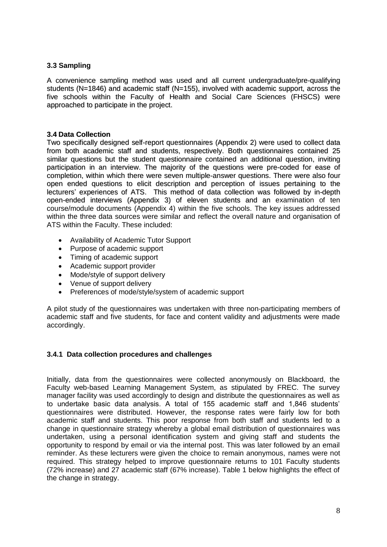#### **3.3 Sampling**

A convenience sampling method was used and all current undergraduate/pre-qualifying students (N=1846) and academic staff (N=155), involved with academic support, across the five schools within the Faculty of Health and Social Care Sciences (FHSCS) were approached to participate in the project.

#### **3.4 Data Collection**

Two specifically designed self-report questionnaires (Appendix 2) were used to collect data from both academic staff and students, respectively. Both questionnaires contained 25 similar questions but the student questionnaire contained an additional question, inviting participation in an interview. The majority of the questions were pre-coded for ease of completion, within which there were seven multiple-answer questions. There were also four open ended questions to elicit description and perception of issues pertaining to the lecturers" experiences of ATS. This method of data collection was followed by in-depth open-ended interviews (Appendix 3) of eleven students and an examination of ten course/module documents (Appendix 4) within the five schools. The key issues addressed within the three data sources were similar and reflect the overall nature and organisation of ATS within the Faculty. These included:

- Availability of Academic Tutor Support
- Purpose of academic support
- Timing of academic support
- Academic support provider
- Mode/style of support delivery
- Venue of support delivery
- Preferences of mode/style/system of academic support

A pilot study of the questionnaires was undertaken with three non-participating members of academic staff and five students, for face and content validity and adjustments were made accordingly.

#### **3.4.1 Data collection procedures and challenges**

Initially, data from the questionnaires were collected anonymously on Blackboard, the Faculty web-based Learning Management System, as stipulated by FREC. The survey manager facility was used accordingly to design and distribute the questionnaires as well as to undertake basic data analysis. A total of 155 academic staff and 1,846 students" questionnaires were distributed. However, the response rates were fairly low for both academic staff and students. This poor response from both staff and students led to a change in questionnaire strategy whereby a global email distribution of questionnaires was undertaken, using a personal identification system and giving staff and students the opportunity to respond by email or via the internal post. This was later followed by an email reminder. As these lecturers were given the choice to remain anonymous, names were not required. This strategy helped to improve questionnaire returns to 101 Faculty students (72% increase) and 27 academic staff (67% increase). Table 1 below highlights the effect of the change in strategy.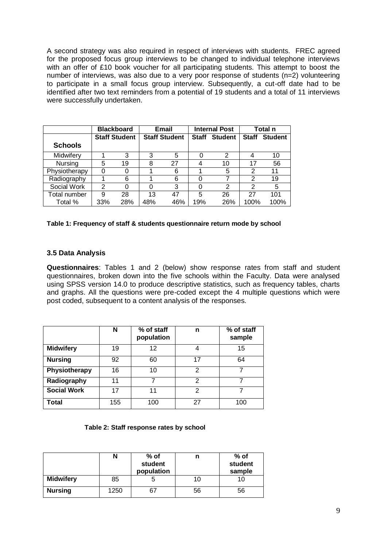A second strategy was also required in respect of interviews with students. FREC agreed for the proposed focus group interviews to be changed to individual telephone interviews with an offer of £10 book voucher for all participating students. This attempt to boost the number of interviews, was also due to a very poor response of students (n=2) volunteering to participate in a small focus group interview. Subsequently, a cut-off date had to be identified after two text reminders from a potential of 19 students and a total of 11 interviews were successfully undertaken.

|                | <b>Blackboard</b> |                      | Email | <b>Internal Post</b> |     | Total n        |              |                |
|----------------|-------------------|----------------------|-------|----------------------|-----|----------------|--------------|----------------|
|                |                   | <b>Staff Student</b> |       | <b>Staff Student</b> |     | <b>Student</b> | <b>Staff</b> | <b>Student</b> |
| <b>Schools</b> |                   |                      |       |                      |     |                |              |                |
| Midwifery      |                   | 3                    | 3     | 5                    | 0   | 2              |              | 10             |
| Nursing        | 5                 | 19                   | 8     | 27                   |     | 10             | 17           | 56             |
| Physiotherapy  | 0                 |                      |       | 6                    |     | 5              | 2            | 11             |
| Radiography    |                   | 6                    |       | 6                    | O   | 7              | 2            | 19             |
| Social Work    | 2                 |                      | 0     | 3                    | 0   | 2              | 2            | 5              |
| Total number   | 9                 | 28                   | 13    | 47                   | 5   | 26             | 27           | 101            |
| Total %        | 33%               | 28%                  | 48%   | 46%                  | 19% | 26%            | 100%         | 100%           |

#### **Table 1: Frequency of staff & students questionnaire return mode by school**

#### **3.5 Data Analysis**

**Questionnaires**: Tables 1 and 2 (below) show response rates from staff and student questionnaires, broken down into the five schools within the Faculty. Data were analysed using SPSS version 14.0 to produce descriptive statistics, such as frequency tables, charts and graphs. All the questions were pre-coded except the 4 multiple questions which were post coded, subsequent to a content analysis of the responses.

|                      | N   | % of staff<br>population | n  | % of staff<br>sample |
|----------------------|-----|--------------------------|----|----------------------|
| <b>Midwifery</b>     | 19  | 12                       | 4  | 15                   |
| <b>Nursing</b>       | 92  | 60                       | 17 | 64                   |
| <b>Physiotherapy</b> | 16  | 10                       | 2  |                      |
| Radiography          | 11  |                          | 2  |                      |
| <b>Social Work</b>   | 17  | 11                       | 2  |                      |
| Total                | 155 | 100                      | 27 | 100                  |

#### **Table 2: Staff response rates by school**

|                  | N    | $%$ of<br>student<br>population | n  | % of<br>student<br>sample |
|------------------|------|---------------------------------|----|---------------------------|
| <b>Midwifery</b> | 85   |                                 | 10 | 10                        |
| <b>Nursing</b>   | 1250 | 67                              | 56 | 56                        |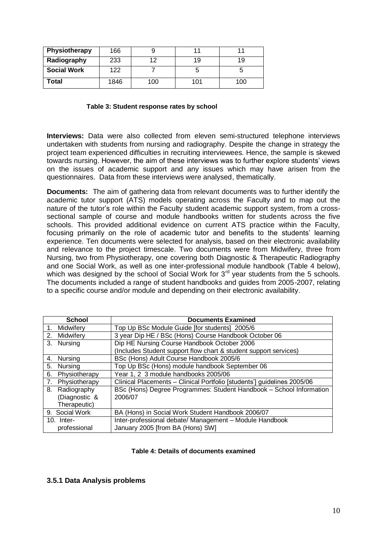| Physiotherapy      | 166  |     |     |     |
|--------------------|------|-----|-----|-----|
| Radiography        | 233  | 1つ  | 19  | 19  |
| <b>Social Work</b> | 122  |     |     | C   |
| Total              | 1846 | 100 | 101 | 100 |

#### **Table 3: Student response rates by school**

**Interviews:** Data were also collected from eleven semi-structured telephone interviews undertaken with students from nursing and radiography. Despite the change in strategy the project team experienced difficulties in recruiting interviewees. Hence, the sample is skewed towards nursing. However, the aim of these interviews was to further explore students" views on the issues of academic support and any issues which may have arisen from the questionnaires. Data from these interviews were analysed, thematically.

**Documents:** The aim of gathering data from relevant documents was to further identify the academic tutor support (ATS) models operating across the Faculty and to map out the nature of the tutor"s role within the Faculty student academic support system, from a crosssectional sample of course and module handbooks written for students across the five schools. This provided additional evidence on current ATS practice within the Faculty, focusing primarily on the role of academic tutor and benefits to the students" learning experience. Ten documents were selected for analysis, based on their electronic availability and relevance to the project timescale. Two documents were from Midwifery, three from Nursing, two from Physiotherapy, one covering both Diagnostic & Therapeutic Radiography and one Social Work, as well as one inter-professional module handbook (Table 4 below), which was designed by the school of Social Work for 3<sup>rd</sup> year students from the 5 schools. The documents included a range of student handbooks and guides from 2005-2007, relating to a specific course and/or module and depending on their electronic availability.

| <b>School</b>             | <b>Documents Examined</b>                                               |
|---------------------------|-------------------------------------------------------------------------|
| 1. Midwifery              | Top Up BSc Module Guide [for students] 2005/6                           |
| 2.<br>Midwifery           | 3 year Dip HE / BSc (Hons) Course Handbook October 06                   |
| 3.<br>Nursing             | Dip HE Nursing Course Handbook October 2006                             |
|                           | (Includes Student support flow chart & student support services)        |
| 4.<br>Nursina             | BSc (Hons) Adult Course Handbook 2005/6                                 |
| 5 <sub>1</sub><br>Nursing | Top Up BSc (Hons) module handbook September 06                          |
| 6.<br>Physiotherapy       | Year 1, 2 3 module handbooks 2005/06                                    |
| 7.<br>Physiotherapy       | Clinical Placements - Clinical Portfolio [students'] guidelines 2005/06 |
| 8. Radiography            | BSc (Hons) Degree Programmes: Student Handbook - School Information     |
| (Diagnostic &             | 2006/07                                                                 |
| Therapeutic)              |                                                                         |
| 9. Social Work            | BA (Hons) in Social Work Student Handbook 2006/07                       |
| $10.$ Inter-              | Inter-professional debate/ Management - Module Handbook                 |
| professional              | January 2005 [from BA (Hons) SW]                                        |

#### **Table 4: Details of documents examined**

#### **3.5.1 Data Analysis problems**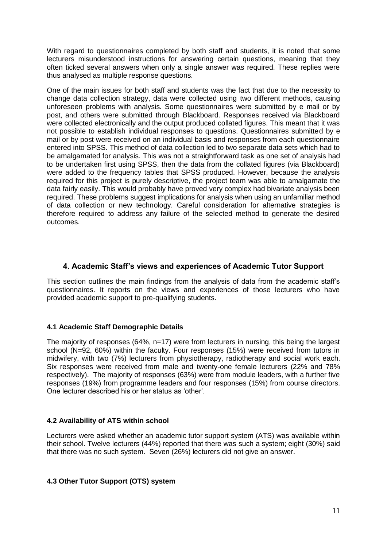With regard to questionnaires completed by both staff and students, it is noted that some lecturers misunderstood instructions for answering certain questions, meaning that they often ticked several answers when only a single answer was required. These replies were thus analysed as multiple response questions.

One of the main issues for both staff and students was the fact that due to the necessity to change data collection strategy, data were collected using two different methods, causing unforeseen problems with analysis. Some questionnaires were submitted by e mail or by post, and others were submitted through Blackboard. Responses received via Blackboard were collected electronically and the output produced collated figures. This meant that it was not possible to establish individual responses to questions. Questionnaires submitted by e mail or by post were received on an individual basis and responses from each questionnaire entered into SPSS. This method of data collection led to two separate data sets which had to be amalgamated for analysis. This was not a straightforward task as one set of analysis had to be undertaken first using SPSS, then the data from the collated figures (via Blackboard) were added to the frequency tables that SPSS produced. However, because the analysis required for this project is purely descriptive, the project team was able to amalgamate the data fairly easily. This would probably have proved very complex had bivariate analysis been required. These problems suggest implications for analysis when using an unfamiliar method of data collection or new technology. Careful consideration for alternative strategies is therefore required to address any failure of the selected method to generate the desired outcomes.

#### **4. Academic Staff's views and experiences of Academic Tutor Support**

This section outlines the main findings from the analysis of data from the academic staff"s questionnaires. It reports on the views and experiences of those lecturers who have provided academic support to pre-qualifying students.

#### **4.1 Academic Staff Demographic Details**

The majority of responses (64%, n=17) were from lecturers in nursing, this being the largest school (N=92, 60%) within the faculty. Four responses (15%) were received from tutors in midwifery, with two (7%) lecturers from physiotherapy, radiotherapy and social work each. Six responses were received from male and twenty-one female lecturers (22% and 78% respectively). The majority of responses (63%) were from module leaders, with a further five responses (19%) from programme leaders and four responses (15%) from course directors. One lecturer described his or her status as "other".

#### **4.2 Availability of ATS within school**

Lecturers were asked whether an academic tutor support system (ATS) was available within their school. Twelve lecturers (44%) reported that there was such a system; eight (30%) said that there was no such system. Seven (26%) lecturers did not give an answer.

#### **4.3 Other Tutor Support (OTS) system**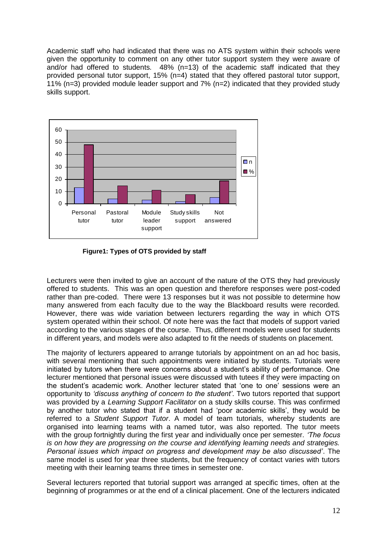Academic staff who had indicated that there was no ATS system within their schools were given the opportunity to comment on any other tutor support system they were aware of and/or had offered to students.  $48\%$  (n=13) of the academic staff indicated that they provided personal tutor support, 15% (n=4) stated that they offered pastoral tutor support, 11% (n=3) provided module leader support and 7% (n=2) indicated that they provided study skills support.



**Figure1: Types of OTS provided by staff**

Lecturers were then invited to give an account of the nature of the OTS they had previously offered to students. This was an open question and therefore responses were post-coded rather than pre-coded. There were 13 responses but it was not possible to determine how many answered from each faculty due to the way the Blackboard results were recorded. However, there was wide variation between lecturers regarding the way in which OTS system operated within their school. Of note here was the fact that models of support varied according to the various stages of the course. Thus, different models were used for students in different years, and models were also adapted to fit the needs of students on placement.

The majority of lecturers appeared to arrange tutorials by appointment on an ad hoc basis, with several mentioning that such appointments were initiated by students. Tutorials were initiated by tutors when there were concerns about a student"s ability of performance. One lecturer mentioned that personal issues were discussed with tutees if they were impacting on the student"s academic work. Another lecturer stated that "one to one" sessions were an opportunity to *"discuss anything of concern to the student"*. Two tutors reported that support was provided by a *Learning Support Facilitator* on a study skills course. This was confirmed by another tutor who stated that if a student had "poor academic skills", they would be referred to a *Student Support Tutor*. A model of team tutorials, whereby students are organised into learning teams with a named tutor, was also reported. The tutor meets with the group fortnightly during the first year and individually once per semester. *"The focus is on how they are progressing on the course and identifying learning needs and strategies. Personal issues which impact on progress and development may be also discussed"*. The same model is used for year three students, but the frequency of contact varies with tutors meeting with their learning teams three times in semester one.

Several lecturers reported that tutorial support was arranged at specific times, often at the beginning of programmes or at the end of a clinical placement. One of the lecturers indicated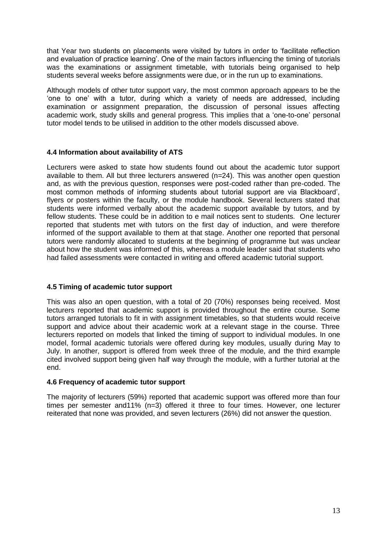that Year two students on placements were visited by tutors in order to "facilitate reflection and evaluation of practice learning'. One of the main factors influencing the timing of tutorials was the examinations or assignment timetable, with tutorials being organised to help students several weeks before assignments were due, or in the run up to examinations.

Although models of other tutor support vary, the most common approach appears to be the "one to one" with a tutor, during which a variety of needs are addressed, including examination or assignment preparation, the discussion of personal issues affecting academic work, study skills and general progress. This implies that a "one-to-one" personal tutor model tends to be utilised in addition to the other models discussed above.

#### **4.4 Information about availability of ATS**

Lecturers were asked to state how students found out about the academic tutor support available to them. All but three lecturers answered (n=24). This was another open question and, as with the previous question, responses were post-coded rather than pre-coded. The most common methods of informing students about tutorial support are via Blackboard", flyers or posters within the faculty, or the module handbook. Several lecturers stated that students were informed verbally about the academic support available by tutors, and by fellow students. These could be in addition to e mail notices sent to students. One lecturer reported that students met with tutors on the first day of induction, and were therefore informed of the support available to them at that stage. Another one reported that personal tutors were randomly allocated to students at the beginning of programme but was unclear about how the student was informed of this, whereas a module leader said that students who had failed assessments were contacted in writing and offered academic tutorial support.

#### **4.5 Timing of academic tutor support**

This was also an open question, with a total of 20 (70%) responses being received. Most lecturers reported that academic support is provided throughout the entire course. Some tutors arranged tutorials to fit in with assignment timetables, so that students would receive support and advice about their academic work at a relevant stage in the course. Three lecturers reported on models that linked the timing of support to individual modules. In one model, formal academic tutorials were offered during key modules, usually during May to July. In another, support is offered from week three of the module, and the third example cited involved support being given half way through the module, with a further tutorial at the end.

#### **4.6 Frequency of academic tutor support**

The majority of lecturers (59%) reported that academic support was offered more than four times per semester and11% (n=3) offered it three to four times. However, one lecturer reiterated that none was provided, and seven lecturers (26%) did not answer the question.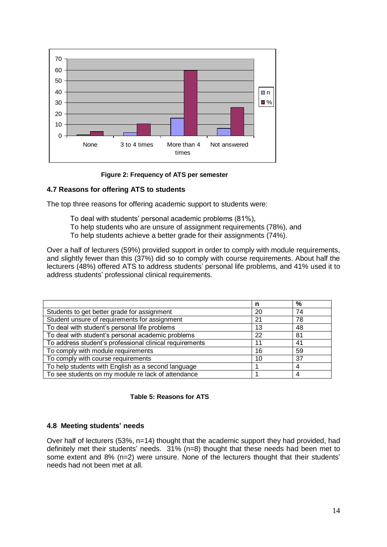

 **Figure 2: Frequency of ATS per semester**

#### **4.7 Reasons for offering ATS to students**

The top three reasons for offering academic support to students were:

- To deal with students" personal academic problems (81%),
- To help students who are unsure of assignment requirements (78%), and
- To help students achieve a better grade for their assignments (74%).

Over a half of lecturers (59%) provided support in order to comply with module requirements, and slightly fewer than this (37%) did so to comply with course requirements. About half the lecturers (48%) offered ATS to address students" personal life problems, and 41% used it to address students" professional clinical requirements.

|                                                         | n  | %  |
|---------------------------------------------------------|----|----|
| Students to get better grade for assignment             | 20 | 74 |
| Student unsure of requirements for assignment           | 21 | 78 |
| To deal with student's personal life problems           | 13 | 48 |
| To deal with student's personal academic problems       | 22 | 81 |
| To address student's professional clinical requirements | 11 | 41 |
| To comply with module requirements                      | 16 | 59 |
| To comply with course requirements                      | 10 | 37 |
| To help students with English as a second language      |    |    |
| To see students on my module re lack of attendance      |    |    |



#### **4.8 Meeting students' needs**

Over half of lecturers (53%, n=14) thought that the academic support they had provided, had definitely met their students' needs. 31% (n=8) thought that these needs had been met to some extent and 8% (n=2) were unsure. None of the lecturers thought that their students' needs had not been met at all.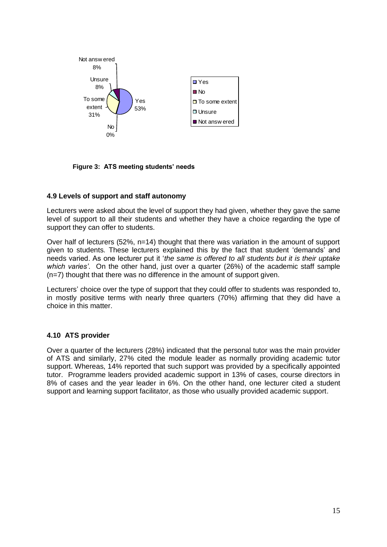

**Figure 3: ATS meeting students' needs** 

#### **4.9 Levels of support and staff autonomy**

Lecturers were asked about the level of support they had given, whether they gave the same level of support to all their students and whether they have a choice regarding the type of support they can offer to students.

Over half of lecturers (52%, n=14) thought that there was variation in the amount of support given to students. These lecturers explained this by the fact that student "demands" and needs varied. As one lecturer put it "*the same is offered to all students but it is their uptake which varies"*. On the other hand, just over a quarter (26%) of the academic staff sample (n=7) thought that there was no difference in the amount of support given.

Lecturers" choice over the type of support that they could offer to students was responded to, in mostly positive terms with nearly three quarters (70%) affirming that they did have a choice in this matter.

#### **4.10 ATS provider**

Over a quarter of the lecturers (28%) indicated that the personal tutor was the main provider of ATS and similarly, 27% cited the module leader as normally providing academic tutor support. Whereas, 14% reported that such support was provided by a specifically appointed tutor. Programme leaders provided academic support in 13% of cases, course directors in 8% of cases and the year leader in 6%. On the other hand, one lecturer cited a student support and learning support facilitator, as those who usually provided academic support.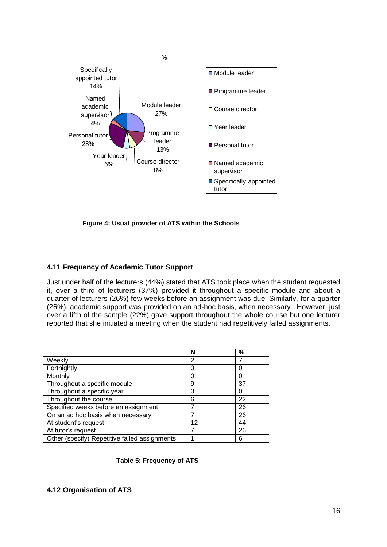

**Figure 4: Usual provider of ATS within the Schools**

#### **4.11 Frequency of Academic Tutor Support**

Just under half of the lecturers (44%) stated that ATS took place when the student requested it, over a third of lecturers (37%) provided it throughout a specific module and about a quarter of lecturers (26%) few weeks before an assignment was due. Similarly, for a quarter (26%), academic support was provided on an ad-hoc basis, when necessary. However, just over a fifth of the sample (22%) gave support throughout the whole course but one lecturer reported that she initiated a meeting when the student had repetitively failed assignments.

|                                               | N  | $\%$ |
|-----------------------------------------------|----|------|
| Weekly                                        | 2  |      |
| Fortnightly                                   |    |      |
| Monthly                                       |    |      |
| Throughout a specific module                  | 9  | 37   |
| Throughout a specific year                    |    |      |
| Throughout the course                         | 6  | 22   |
| Specified weeks before an assignment          |    | 26   |
| On an ad hoc basis when necessary             |    | 26   |
| At student's request                          | 12 | 44   |
| At tutor's request                            |    | 26   |
| Other (specify) Repetitive failed assignments |    | 6    |

#### **Table 5: Frequency of ATS**

#### **4.12 Organisation of ATS**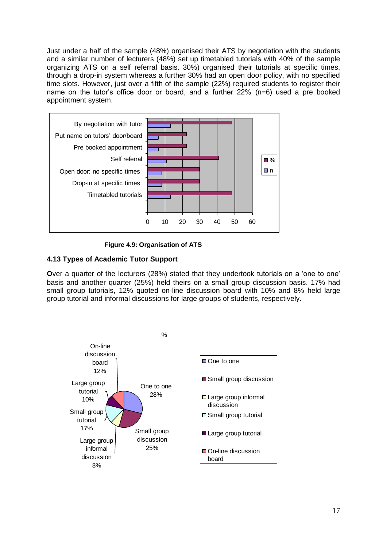Just under a half of the sample (48%) organised their ATS by negotiation with the students and a similar number of lecturers (48%) set up timetabled tutorials with 40% of the sample organizing ATS on a self referral basis. 30%) organised their tutorials at specific times, through a drop-in system whereas a further 30% had an open door policy, with no specified time slots. However, just over a fifth of the sample (22%) required students to register their name on the tutor's office door or board, and a further 22% (n=6) used a pre booked appointment system.



**Figure 4.9: Organisation of ATS** 

#### **4.13 Types of Academic Tutor Support**

**O**ver a quarter of the lecturers (28%) stated that they undertook tutorials on a 'one to one' basis and another quarter (25%) held theirs on a small group discussion basis. 17% had small group tutorials, 12% quoted on-line discussion board with 10% and 8% held large group tutorial and informal discussions for large groups of students, respectively.

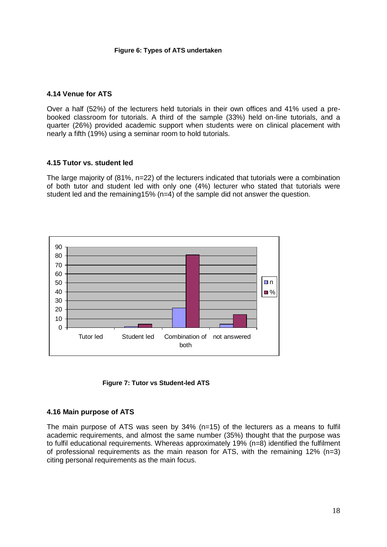#### **Figure 6: Types of ATS undertaken**

#### **4.14 Venue for ATS**

Over a half (52%) of the lecturers held tutorials in their own offices and 41% used a prebooked classroom for tutorials. A third of the sample (33%) held on-line tutorials, and a quarter (26%) provided academic support when students were on clinical placement with nearly a fifth (19%) using a seminar room to hold tutorials.

#### **4.15 Tutor vs. student led**

The large majority of (81%, n=22) of the lecturers indicated that tutorials were a combination of both tutor and student led with only one (4%) lecturer who stated that tutorials were student led and the remaining15% (n=4) of the sample did not answer the question.



 **Figure 7: Tutor vs Student-led ATS**

#### **4.16 Main purpose of ATS**

The main purpose of ATS was seen by 34% (n=15) of the lecturers as a means to fulfil academic requirements, and almost the same number (35%) thought that the purpose was to fulfil educational requirements. Whereas approximately 19% (n=8) identified the fulfilment of professional requirements as the main reason for ATS, with the remaining  $12\%$  (n=3) citing personal requirements as the main focus.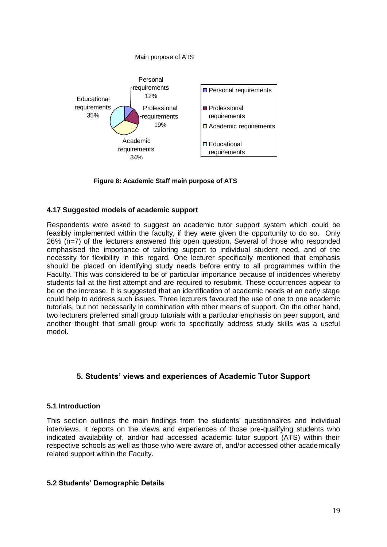

 **Figure 8: Academic Staff main purpose of ATS**

#### **4.17 Suggested models of academic support**

Respondents were asked to suggest an academic tutor support system which could be feasibly implemented within the faculty, if they were given the opportunity to do so. Only 26% (n=7) of the lecturers answered this open question. Several of those who responded emphasised the importance of tailoring support to individual student need, and of the necessity for flexibility in this regard. One lecturer specifically mentioned that emphasis should be placed on identifying study needs before entry to all programmes within the Faculty. This was considered to be of particular importance because of incidences whereby students fail at the first attempt and are required to resubmit. These occurrences appear to be on the increase. It is suggested that an identification of academic needs at an early stage could help to address such issues. Three lecturers favoured the use of one to one academic tutorials, but not necessarily in combination with other means of support. On the other hand, two lecturers preferred small group tutorials with a particular emphasis on peer support, and another thought that small group work to specifically address study skills was a useful model.

### **5. Students' views and experiences of Academic Tutor Support**

#### **5.1 Introduction**

This section outlines the main findings from the students" questionnaires and individual interviews. It reports on the views and experiences of those pre-qualifying students who indicated availability of, and/or had accessed academic tutor support (ATS) within their respective schools as well as those who were aware of, and/or accessed other academically related support within the Faculty.

#### **5.2 Students' Demographic Details**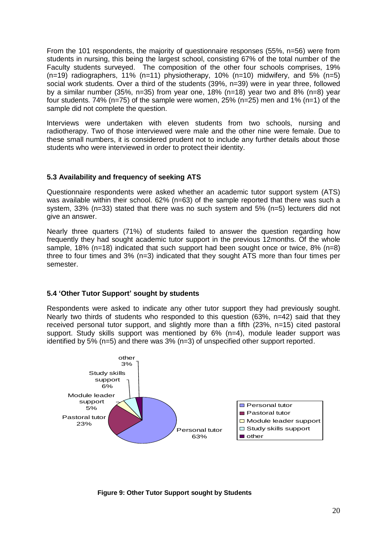From the 101 respondents, the majority of questionnaire responses (55%, n=56) were from students in nursing, this being the largest school, consisting 67% of the total number of the Faculty students surveyed. The composition of the other four schools comprises, 19%  $(n=19)$  radiographers, 11% (n=11) physiotherapy, 10% (n=10) midwifery, and 5% (n=5) social work students. Over a third of the students (39%, n=39) were in year three, followed by a similar number (35%, n=35) from year one, 18% (n=18) year two and 8% (n=8) year four students. 74% ( $n=75$ ) of the sample were women, 25% ( $n=25$ ) men and 1% ( $n=1$ ) of the sample did not complete the question.

Interviews were undertaken with eleven students from two schools, nursing and radiotherapy. Two of those interviewed were male and the other nine were female. Due to these small numbers, it is considered prudent not to include any further details about those students who were interviewed in order to protect their identity.

#### **5.3 Availability and frequency of seeking ATS**

Questionnaire respondents were asked whether an academic tutor support system (ATS) was available within their school. 62% (n=63) of the sample reported that there was such a system, 33% (n=33) stated that there was no such system and 5% (n=5) lecturers did not give an answer.

Nearly three quarters (71%) of students failed to answer the question regarding how frequently they had sought academic tutor support in the previous 12months. Of the whole sample, 18% (n=18) indicated that such support had been sought once or twice, 8% (n=8) three to four times and 3% (n=3) indicated that they sought ATS more than four times per semester.

#### **5.4 'Other Tutor Support' sought by students**

Respondents were asked to indicate any other tutor support they had previously sought. Nearly two thirds of students who responded to this question (63%, n=42) said that they received personal tutor support, and slightly more than a fifth (23%, n=15) cited pastoral support. Study skills support was mentioned by  $6\%$  (n=4), module leader support was identified by 5% (n=5) and there was 3% (n=3) of unspecified other support reported.



**Figure 9: Other Tutor Support sought by Students**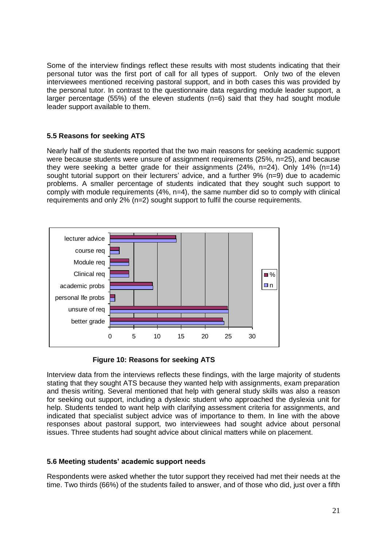Some of the interview findings reflect these results with most students indicating that their personal tutor was the first port of call for all types of support. Only two of the eleven interviewees mentioned receiving pastoral support, and in both cases this was provided by the personal tutor. In contrast to the questionnaire data regarding module leader support, a larger percentage (55%) of the eleven students  $(n=6)$  said that they had sought module leader support available to them.

#### **5.5 Reasons for seeking ATS**

Nearly half of the students reported that the two main reasons for seeking academic support were because students were unsure of assignment requirements (25%, n=25), and because they were seeking a better grade for their assignments (24%, n=24). Only 14% (n=14) sought tutorial support on their lecturers' advice, and a further 9% (n=9) due to academic problems. A smaller percentage of students indicated that they sought such support to comply with module requirements (4%, n=4), the same number did so to comply with clinical requirements and only 2% (n=2) sought support to fulfil the course requirements.



 **Figure 10: Reasons for seeking ATS**

Interview data from the interviews reflects these findings, with the large majority of students stating that they sought ATS because they wanted help with assignments, exam preparation and thesis writing. Several mentioned that help with general study skills was also a reason for seeking out support, including a dyslexic student who approached the dyslexia unit for help. Students tended to want help with clarifying assessment criteria for assignments, and indicated that specialist subject advice was of importance to them. In line with the above responses about pastoral support, two interviewees had sought advice about personal issues. Three students had sought advice about clinical matters while on placement.

#### **5.6 Meeting students' academic support needs**

Respondents were asked whether the tutor support they received had met their needs at the time. Two thirds (66%) of the students failed to answer, and of those who did, just over a fifth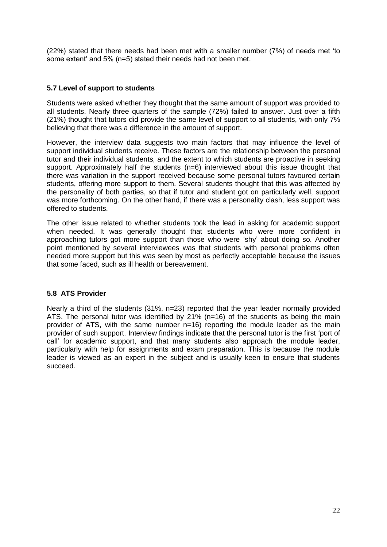(22%) stated that there needs had been met with a smaller number (7%) of needs met "to some extent' and 5% (n=5) stated their needs had not been met.

#### **5.7 Level of support to students**

Students were asked whether they thought that the same amount of support was provided to all students. Nearly three quarters of the sample (72%) failed to answer. Just over a fifth (21%) thought that tutors did provide the same level of support to all students, with only 7% believing that there was a difference in the amount of support.

However, the interview data suggests two main factors that may influence the level of support individual students receive. These factors are the relationship between the personal tutor and their individual students, and the extent to which students are proactive in seeking support. Approximately half the students (n=6) interviewed about this issue thought that there was variation in the support received because some personal tutors favoured certain students, offering more support to them. Several students thought that this was affected by the personality of both parties, so that if tutor and student got on particularly well, support was more forthcoming. On the other hand, if there was a personality clash, less support was offered to students.

The other issue related to whether students took the lead in asking for academic support when needed. It was generally thought that students who were more confident in approaching tutors got more support than those who were "shy" about doing so. Another point mentioned by several interviewees was that students with personal problems often needed more support but this was seen by most as perfectly acceptable because the issues that some faced, such as ill health or bereavement.

#### **5.8 ATS Provider**

Nearly a third of the students (31%, n=23) reported that the year leader normally provided ATS. The personal tutor was identified by 21% (n=16) of the students as being the main provider of ATS, with the same number n=16) reporting the module leader as the main provider of such support. Interview findings indicate that the personal tutor is the first "port of call" for academic support, and that many students also approach the module leader, particularly with help for assignments and exam preparation. This is because the module leader is viewed as an expert in the subject and is usually keen to ensure that students succeed.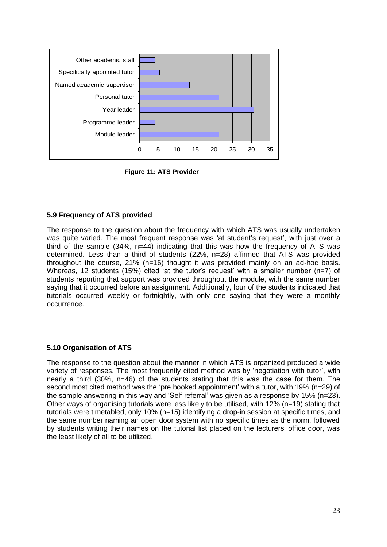

**Figure 11: ATS Provider**

#### **5.9 Frequency of ATS provided**

The response to the question about the frequency with which ATS was usually undertaken was quite varied. The most frequent response was 'at student's request', with just over a third of the sample (34%, n=44) indicating that this was how the frequency of ATS was determined. Less than a third of students (22%, n=28) affirmed that ATS was provided throughout the course, 21% (n=16) thought it was provided mainly on an ad-hoc basis. Whereas, 12 students (15%) cited 'at the tutor's request' with a smaller number ( $n=7$ ) of students reporting that support was provided throughout the module, with the same number saying that it occurred before an assignment. Additionally, four of the students indicated that tutorials occurred weekly or fortnightly, with only one saying that they were a monthly occurrence.

#### **5.10 Organisation of ATS**

The response to the question about the manner in which ATS is organized produced a wide variety of responses. The most frequently cited method was by "negotiation with tutor", with nearly a third (30%, n=46) of the students stating that this was the case for them. The second most cited method was the 'pre booked appointment' with a tutor, with 19% (n=29) of the sample answering in this way and "Self referral" was given as a response by 15% (n=23). Other ways of organising tutorials were less likely to be utilised, with 12% (n=19) stating that tutorials were timetabled, only 10% (n=15) identifying a drop-in session at specific times, and the same number naming an open door system with no specific times as the norm, followed by students writing their names on the tutorial list placed on the lecturers" office door, was the least likely of all to be utilized.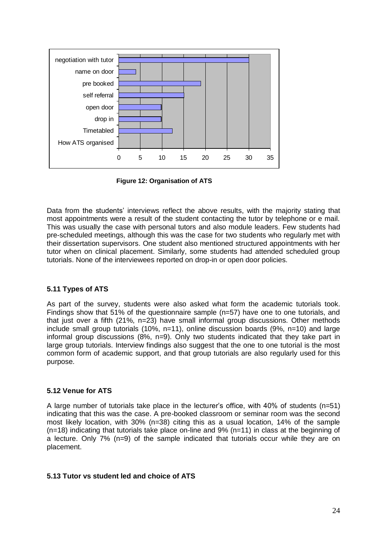

**Figure 12: Organisation of ATS**

Data from the students' interviews reflect the above results, with the majority stating that most appointments were a result of the student contacting the tutor by telephone or e mail. This was usually the case with personal tutors and also module leaders. Few students had pre-scheduled meetings, although this was the case for two students who regularly met with their dissertation supervisors. One student also mentioned structured appointments with her tutor when on clinical placement. Similarly, some students had attended scheduled group tutorials. None of the interviewees reported on drop-in or open door policies.

#### **5.11 Types of ATS**

As part of the survey, students were also asked what form the academic tutorials took. Findings show that 51% of the questionnaire sample (n=57) have one to one tutorials, and that just over a fifth (21%, n=23) have small informal group discussions. Other methods include small group tutorials (10%, n=11), online discussion boards (9%, n=10) and large informal group discussions (8%, n=9). Only two students indicated that they take part in large group tutorials. Interview findings also suggest that the one to one tutorial is the most common form of academic support, and that group tutorials are also regularly used for this purpose.

#### **5.12 Venue for ATS**

A large number of tutorials take place in the lecturer"s office, with 40% of students (n=51) indicating that this was the case. A pre-booked classroom or seminar room was the second most likely location, with 30% (n=38) citing this as a usual location, 14% of the sample  $(n=18)$  indicating that tutorials take place on-line and 9%  $(n=11)$  in class at the beginning of a lecture. Only 7% (n=9) of the sample indicated that tutorials occur while they are on placement.

#### **5.13 Tutor vs student led and choice of ATS**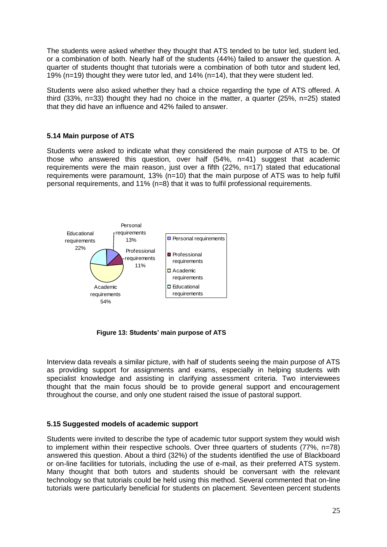The students were asked whether they thought that ATS tended to be tutor led, student led, or a combination of both. Nearly half of the students (44%) failed to answer the question. A quarter of students thought that tutorials were a combination of both tutor and student led, 19% (n=19) thought they were tutor led, and 14% (n=14), that they were student led.

Students were also asked whether they had a choice regarding the type of ATS offered. A third (33%, n=33) thought they had no choice in the matter, a quarter (25%, n=25) stated that they did have an influence and 42% failed to answer.

#### **5.14 Main purpose of ATS**

Students were asked to indicate what they considered the main purpose of ATS to be. Of those who answered this question, over half (54%, n=41) suggest that academic requirements were the main reason, just over a fifth (22%, n=17) stated that educational requirements were paramount, 13% (n=10) that the main purpose of ATS was to help fulfil personal requirements, and 11% (n=8) that it was to fulfil professional requirements.



**Figure 13: Students' main purpose of ATS**

Interview data reveals a similar picture, with half of students seeing the main purpose of ATS as providing support for assignments and exams, especially in helping students with specialist knowledge and assisting in clarifying assessment criteria. Two interviewees thought that the main focus should be to provide general support and encouragement throughout the course, and only one student raised the issue of pastoral support.

#### **5.15 Suggested models of academic support**

Students were invited to describe the type of academic tutor support system they would wish to implement within their respective schools. Over three quarters of students (77%, n=78) answered this question. About a third (32%) of the students identified the use of Blackboard or on-line facilities for tutorials, including the use of e-mail, as their preferred ATS system. Many thought that both tutors and students should be conversant with the relevant technology so that tutorials could be held using this method. Several commented that on-line tutorials were particularly beneficial for students on placement. Seventeen percent students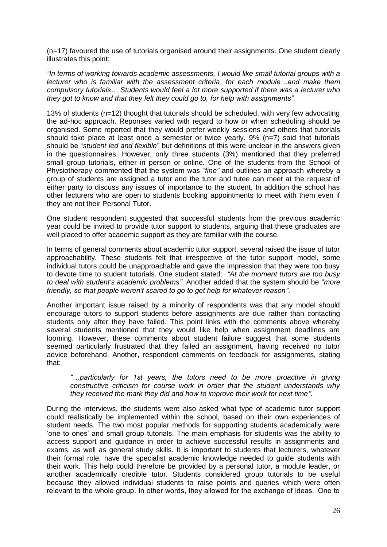(n=17) favoured the use of tutorials organised around their assignments. One student clearly illustrates this point:

*"In terms of working towards academic assessments, I would like small tutorial groups with a lecturer who is familiar with the assessment criteria, for each module…and make them compulsory tutorials… Students would feel a lot more supported if there was a lecturer who they got to know and that they felt they could go to, for help with assignments".*

13% of students (n=12) thought that tutorials should be scheduled, with very few advocating the ad-hoc approach. Reponses varied with regard to how or when scheduling should be organised. Some reported that they would prefer weekly sessions and others that tutorials should take place at least once a semester or twice yearly. 9% (n=7) said that tutorials should be "*student led and flexible*" but definitions of this were unclear in the answers given in the questionnaires. However, only three students (3%) mentioned that they preferred small group tutorials, either in person or online. One of the students from the School of Physiotherapy commented that the system was "*fine"* and outlines an approach whereby a group of students are assigned a tutor and the tutor and tutee can meet at the request of either party to discuss any issues of importance to the student. In addition the school has other lecturers who are open to students booking appointments to meet with them even if they are not their Personal Tutor.

One student respondent suggested that successful students from the previous academic year could be invited to provide tutor support to students, arguing that these graduates are well placed to offer academic support as they are familiar with the course.

In terms of general comments about academic tutor support, several raised the issue of tutor approachability. These students felt that irrespective of the tutor support model, some individual tutors could be unapproachable and gave the impression that they were too busy to devote time to student tutorials. One student stated: *"At the moment tutors are too busy to deal with student's academic problems"*. Another added that the system should be "*more friendly, so that people weren"t scared to go to get help for whatever reason"*.

Another important issue raised by a minority of respondents was that any model should encourage tutors to support students before assignments are due rather than contacting students only after they have failed. This point links with the comments above whereby several students mentioned that they would like help when assignment deadlines are looming. However, these comments about student failure suggest that some students seemed particularly frustrated that they failed an assignment, having received no tutor advice beforehand. Another, respondent comments on feedback for assignments, stating that:

*"…particularly for 1st years, the tutors need to be more proactive in giving constructive criticism for course work in order that the student understands why they received the mark they did and how to improve their work for next time".*

During the interviews, the students were also asked what type of academic tutor support could realistically be implemented within the school, based on their own experiences of student needs. The two most popular methods for supporting students academically were "one to ones" and small group tutorials. The main emphasis for students was the ability to access support and guidance in order to achieve successful results in assignments and exams, as well as general study skills. It is important to students that lecturers, whatever their formal role, have the specialist academic knowledge needed to guide students with their work. This help could therefore be provided by a personal tutor, a module leader, or another academically credible tutor. Students considered group tutorials to be useful because they allowed individual students to raise points and queries which were often relevant to the whole group. In other words, they allowed for the exchange of ideas. "One to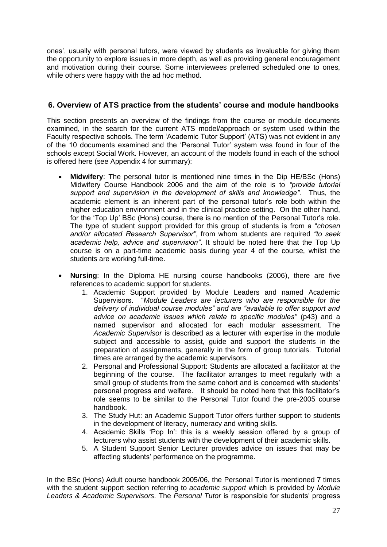ones", usually with personal tutors, were viewed by students as invaluable for giving them the opportunity to explore issues in more depth, as well as providing general encouragement and motivation during their course. Some interviewees preferred scheduled one to ones, while others were happy with the ad hoc method.

#### **6. Overview of ATS practice from the students' course and module handbooks**

This section presents an overview of the findings from the course or module documents examined, in the search for the current ATS model/approach or system used within the Faculty respective schools. The term "Academic Tutor Support" (ATS) was not evident in any of the 10 documents examined and the "Personal Tutor" system was found in four of the schools except Social Work. However, an account of the models found in each of the school is offered here (see Appendix 4 for summary):

- **Midwifery**: The personal tutor is mentioned nine times in the Dip HE/BSc (Hons) Midwifery Course Handbook 2006 and the aim of the role is to *"provide tutorial support and supervision in the development of skills and knowledge"*. Thus, the academic element is an inherent part of the personal tutor"s role both within the higher education environment and in the clinical practice setting. On the other hand, for the "Top Up" BSc (Hons) course, there is no mention of the Personal Tutor"s role. The type of student support provided for this group of students is from a "*chosen and/or allocated Research Supervisor"*, from whom students are required *"to seek academic help, advice and supervision"*. It should be noted here that the Top Up course is on a part-time academic basis during year 4 of the course, whilst the students are working full-time.
- **Nursing**: In the Diploma HE nursing course handbooks (2006), there are five references to academic support for students.
	- 1. Academic Support provided by Module Leaders and named Academic Supervisors. "*Module Leaders are lecturers who are responsible for the delivery of individual course modules" and are "available to offer support and advice on academic issues which relate to specific modules"* (p43) and a named supervisor and allocated for each modular assessment. The *Academic Supervisor* is described as a lecturer with expertise in the module subject and accessible to assist, guide and support the students in the preparation of assignments, generally in the form of group tutorials. Tutorial times are arranged by the academic supervisors.
	- 2. Personal and Professional Support: Students are allocated a facilitator at the beginning of the course. The facilitator arranges to meet regularly with a small group of students from the same cohort and is concerned with students" personal progress and welfare. It should be noted here that this facilitator"s role seems to be similar to the Personal Tutor found the pre-2005 course handbook.
	- 3. The Study Hut: an Academic Support Tutor offers further support to students in the development of literacy, numeracy and writing skills.
	- 4. Academic Skills "Pop In": this is a weekly session offered by a group of lecturers who assist students with the development of their academic skills.
	- 5. A Student Support Senior Lecturer provides advice on issues that may be affecting students" performance on the programme.

In the BSc (Hons) Adult course handbook 2005/06, the Personal Tutor is mentioned 7 times with the student support section referring to *academic support* which is provided by *Module Leaders & Academic Supervisors.* The *Personal Tutor* is responsible for students" progress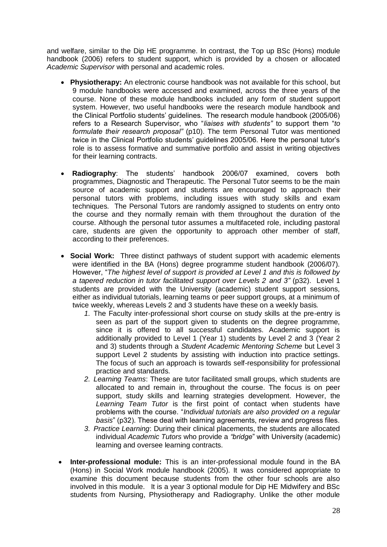and welfare, similar to the Dip HE programme. In contrast, the Top up BSc (Hons) module handbook (2006) refers to student support, which is provided by a chosen or allocated *Academic Supervisor* with personal and academic roles.

- **Physiotherapy:** An electronic course handbook was not available for this school, but 9 module handbooks were accessed and examined, across the three years of the course. None of these module handbooks included any form of student support system. However, two useful handbooks were the research module handbook and the Clinical Portfolio students" guidelines. The research module handbook (2005/06) refers to a Research Supervisor, who "*liaises with students"* to support them "*to formulate their research proposal"* (p10). The term Personal Tutor was mentioned twice in the Clinical Portfolio students' guidelines 2005/06. Here the personal tutor's role is to assess formative and summative portfolio and assist in writing objectives for their learning contracts.
- **Radiography**: The students" handbook 2006/07 examined, covers both programmes, Diagnostic and Therapeutic. The Personal Tutor seems to be the main source of academic support and students are encouraged to approach their personal tutors with problems, including issues with study skills and exam techniques. The Personal Tutors are randomly assigned to students on entry onto the course and they normally remain with them throughout the duration of the course. Although the personal tutor assumes a multifaceted role, including pastoral care, students are given the opportunity to approach other member of staff, according to their preferences.
- **Social Work:** Three distinct pathways of student support with academic elements were identified in the BA (Hons) degree programme student handbook (2006/07). However, "*The highest level of support is provided at Level 1 and this is followed by a tapered reduction in tutor facilitated support over Levels 2 and 3"* (p32). Level 1 students are provided with the University (academic) student support sessions, either as individual tutorials, learning teams or peer support groups, at a minimum of twice weekly, whereas Levels 2 and 3 students have these on a weekly basis*.*
	- *1.* The Faculty inter-professional short course on study skills at the pre-entry is seen as part of the support given to students on the degree programme, since it is offered to all successful candidates. Academic support is additionally provided to Level 1 (Year 1) students by Level 2 and 3 (Year 2 and 3) students through a *Student Academic Mentoring Scheme* but Level 3 support Level 2 students by assisting with induction into practice settings. The focus of such an approach is towards self-responsibility for professional practice and standards.
	- *2. Learning Teams*: These are tutor facilitated small groups, which students are allocated to and remain in, throughout the course. The focus is on peer support, study skills and learning strategies development. However, the *Learning Team Tutor* is the first point of contact when students have problems with the course. "*Individual tutorials are also provided on a regular basis*" (p32). These deal with learning agreements, review and progress files.
	- *3. Practice Learning*: During their clinical placements, the students are allocated individual *Academic Tutors* who provide a *"bridge*" with University (academic) learning and oversee learning contracts.
- **Inter-professional module:** This is an inter-professional module found in the BA (Hons) in Social Work module handbook (2005). It was considered appropriate to examine this document because students from the other four schools are also involved in this module. It is a year 3 optional module for Dip HE Midwifery and BSc students from Nursing, Physiotherapy and Radiography. Unlike the other module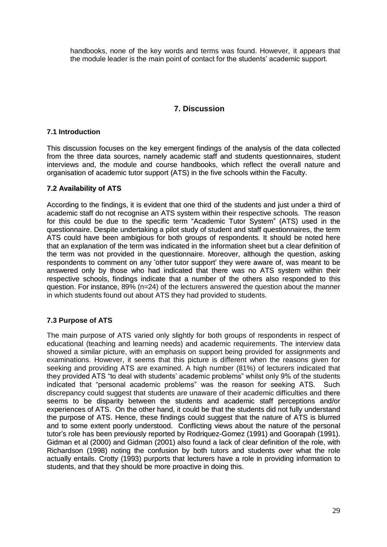handbooks, none of the key words and terms was found. However, it appears that the module leader is the main point of contact for the students" academic support.

#### **7. Discussion**

#### **7.1 Introduction**

This discussion focuses on the key emergent findings of the analysis of the data collected from the three data sources, namely academic staff and students questionnaires, student interviews and, the module and course handbooks, which reflect the overall nature and organisation of academic tutor support (ATS) in the five schools within the Faculty.

#### **7.2 Availability of ATS**

According to the findings, it is evident that one third of the students and just under a third of academic staff do not recognise an ATS system within their respective schools. The reason for this could be due to the specific term "Academic Tutor System" (ATS) used in the questionnaire. Despite undertaking a pilot study of student and staff questionnaires, the term ATS could have been ambigious for both groups of respondents. It should be noted here that an explanation of the term was indicated in the information sheet but a clear definition of the term was not provided in the questionnaire. Moreover, although the question, asking respondents to comment on any 'other tutor support' they were aware of, was meant to be answered only by those who had indicated that there was no ATS system within their respective schools, findings indicate that a number of the others also responded to this question. For instance, 89% (n=24) of the lecturers answered the question about the manner in which students found out about ATS they had provided to students.

#### **7.3 Purpose of ATS**

The main purpose of ATS varied only slightly for both groups of respondents in respect of educational (teaching and learning needs) and academic requirements. The interview data showed a similar picture, with an emphasis on support being provided for assignments and examinations. However, it seems that this picture is different when the reasons given for seeking and providing ATS are examined. A high number (81%) of lecturers indicated that they provided ATS "to deal with students" academic problems" whilst only 9% of the students indicated that "personal academic problems" was the reason for seeking ATS. Such discrepancy could suggest that students are unaware of their academic difficulties and there seems to be disparity between the students and academic staff perceptions and/or experiences of ATS. On the other hand, it could be that the students did not fully understand the purpose of ATS. Hence, these findings could suggest that the nature of ATS is blurred and to some extent poorly understood. Conflicting views about the nature of the personal tutor"s role has been previously reported by Rodriquez-Gomez (1991) and Goorapah (1991). Gidman et al (2000) and Gidman (2001) also found a lack of clear definition of the role, with Richardson (1998) noting the confusion by both tutors and students over what the role actually entails. Crotty (1993) purports that lecturers have a role in providing information to students, and that they should be more proactive in doing this.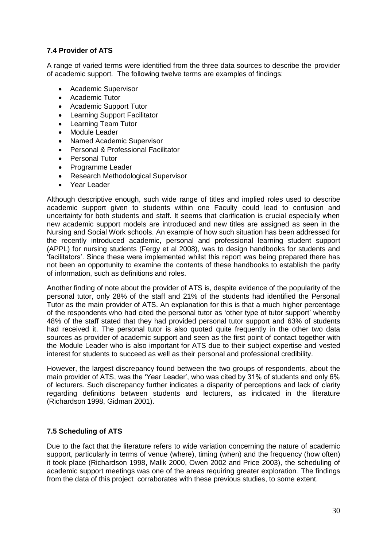#### **7.4 Provider of ATS**

A range of varied terms were identified from the three data sources to describe the provider of academic support. The following twelve terms are examples of findings:

- Academic Supervisor
- Academic Tutor
- Academic Support Tutor
- Learning Support Facilitator
- Learning Team Tutor
- Module Leader
- Named Academic Supervisor
- Personal & Professional Facilitator
- Personal Tutor
- Programme Leader
- Research Methodological Supervisor
- Year Leader

Although descriptive enough, such wide range of titles and implied roles used to describe academic support given to students within one Faculty could lead to confusion and uncertainty for both students and staff. It seems that clarification is crucial especially when new academic support models are introduced and new titles are assigned as seen in the Nursing and Social Work schools. An example of how such situation has been addressed for the recently introduced academic, personal and professional learning student support (APPL) for nursing students (Fergy et al 2008), was to design handbooks for students and "facilitators". Since these were implemented whilst this report was being prepared there has not been an opportunity to examine the contents of these handbooks to establish the parity of information, such as definitions and roles.

Another finding of note about the provider of ATS is, despite evidence of the popularity of the personal tutor, only 28% of the staff and 21% of the students had identified the Personal Tutor as the main provider of ATS. An explanation for this is that a much higher percentage of the respondents who had cited the personal tutor as "other type of tutor support" whereby 48% of the staff stated that they had provided personal tutor support and 63% of students had received it. The personal tutor is also quoted quite frequently in the other two data sources as provider of academic support and seen as the first point of contact together with the Module Leader who is also important for ATS due to their subject expertise and vested interest for students to succeed as well as their personal and professional credibility.

However, the largest discrepancy found between the two groups of respondents, about the main provider of ATS, was the "Year Leader", who was cited by 31% of students and only 6% of lecturers. Such discrepancy further indicates a disparity of perceptions and lack of clarity regarding definitions between students and lecturers, as indicated in the literature (Richardson 1998, Gidman 2001).

#### **7.5 Scheduling of ATS**

Due to the fact that the literature refers to wide variation concerning the nature of academic support, particularly in terms of venue (where), timing (when) and the frequency (how often) it took place (Richardson 1998, Malik 2000, Owen 2002 and Price 2003), the scheduling of academic support meetings was one of the areas requiring greater exploration. The findings from the data of this project corraborates with these previous studies, to some extent.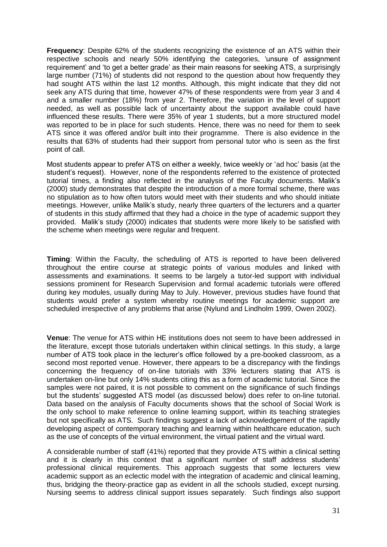**Frequency**: Despite 62% of the students recognizing the existence of an ATS within their respective schools and nearly 50% identifying the categories, "unsure of assignment requirement" and "to get a better grade" as their main reasons for seeking ATS, a surprisingly large number (71%) of students did not respond to the question about how frequently they had sought ATS within the last 12 months. Although, this might indicate that they did not seek any ATS during that time, however 47% of these respondents were from year 3 and 4 and a smaller number (18%) from year 2. Therefore, the variation in the level of support needed, as well as possible lack of uncertainty about the support available could have influenced these results. There were 35% of year 1 students, but a more structured model was reported to be in place for such students. Hence, there was no need for them to seek ATS since it was offered and/or built into their programme. There is also evidence in the results that 63% of students had their support from personal tutor who is seen as the first point of call.

Most students appear to prefer ATS on either a weekly, twice weekly or "ad hoc" basis (at the student"s request). However, none of the respondents referred to the existence of protected tutorial times, a finding also reflected in the analysis of the Faculty documents. Malik"s (2000) study demonstrates that despite the introduction of a more formal scheme, there was no stipulation as to how often tutors would meet with their students and who should initiate meetings. However, unlike Malik's study, nearly three quarters of the lecturers and a quarter of students in this study affirmed that they had a choice in the type of academic support they provided. Malik"s study (2000) indicates that students were more likely to be satisfied with the scheme when meetings were regular and frequent.

**Timing**: Within the Faculty, the scheduling of ATS is reported to have been delivered throughout the entire course at strategic points of various modules and linked with assessments and examinations. It seems to be largely a tutor-led support with individual sessions prominent for Research Supervision and formal academic tutorials were offered during key modules, usually during May to July. However, previous studies have found that students would prefer a system whereby routine meetings for academic support are scheduled irrespective of any problems that arise (Nylund and Lindholm 1999, Owen 2002).

**Venue**: The venue for ATS within HE institutions does not seem to have been addressed in the literature, except those tutorials undertaken within clinical settings. In this study, a large number of ATS took place in the lecturer"s office followed by a pre-booked classroom, as a second most reported venue. However, there appears to be a discrepancy with the findings concerning the frequency of on-line tutorials with 33% lecturers stating that ATS is undertaken on-line but only 14% students citing this as a form of academic tutorial. Since the samples were not paired, it is not possible to comment on the significance of such findings but the students" suggested ATS model (as discussed below) does refer to on-line tutorial. Data based on the analysis of Faculty documents shows that the school of Social Work is the only school to make reference to online learning support, within its teaching strategies but not specifically as ATS. Such findings suggest a lack of acknowledgement of the rapidly developing aspect of contemporary teaching and learning within healthcare education, such as the use of concepts of the virtual environment, the virtual patient and the virtual ward.

A considerable number of staff (41%) reported that they provide ATS within a clinical setting and it is clearly in this context that a significant number of staff address students" professional clinical requirements. This approach suggests that some lecturers view academic support as an eclectic model with the integration of academic and clinical learning, thus, bridging the theory-practice gap as evident in all the schools studied, except nursing. Nursing seems to address clinical support issues separately. Such findings also support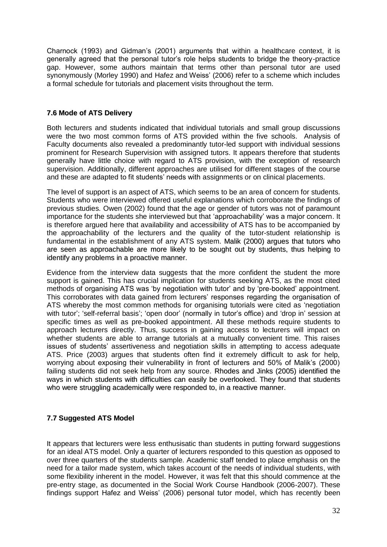Charnock (1993) and Gidman"s (2001) arguments that within a healthcare context, it is generally agreed that the personal tutor's role helps students to bridge the theory-practice gap. However, some authors maintain that terms other than personal tutor are used synonymously (Morley 1990) and Hafez and Weiss' (2006) refer to a scheme which includes a formal schedule for tutorials and placement visits throughout the term.

#### **7.6 Mode of ATS Delivery**

Both lecturers and students indicated that individual tutorials and small group discussions were the two most common forms of ATS provided within the five schools. Analysis of Faculty documents also revealed a predominantly tutor-led support with individual sessions prominent for Research Supervision with assigned tutors. It appears therefore that students generally have little choice with regard to ATS provision, with the exception of research supervision. Additionally, different approaches are utilised for different stages of the course and these are adapted to fit students" needs with assignments or on clinical placements.

The level of support is an aspect of ATS, which seems to be an area of concern for students. Students who were interviewed offered useful explanations which corroborate the findings of previous studies. Owen (2002) found that the age or gender of tutors was not of paramount importance for the students she interviewed but that "approachability" was a major concern. It is therefore argued here that availability and accessibility of ATS has to be accompanied by the approachability of the lecturers and the quality of the tutor-student relationship is fundamental in the establishment of any ATS system. Malik (2000) argues that tutors who are seen as approachable are more likely to be sought out by students, thus helping to identify any problems in a proactive manner.

Evidence from the interview data suggests that the more confident the student the more support is gained. This has crucial implication for students seeking ATS, as the most cited methods of organising ATS was "by negotiation with tutor" and by "pre-booked" appointment. This corroborates with data gained from lecturers" responses regarding the organisation of ATS whereby the most common methods for organising tutorials were cited as "negotiation with tutor'; 'self-referral basis'; 'open door' (normally in tutor's office) and 'drop in' session at specific times as well as pre-booked appointment. All these methods require students to approach lecturers directly. Thus, success in gaining access to lecturers will impact on whether students are able to arrange tutorials at a mutually convenient time. This raises issues of students' assertiveness and negotiation skills in attempting to access adequate ATS. Price (2003) argues that students often find it extremely difficult to ask for help, worrying about exposing their vulnerability in front of lecturers and 50% of Malik"s (2000) failing students did not seek help from any source. Rhodes and Jinks (2005) identified the ways in which students with difficulties can easily be overlooked. They found that students who were struggling academically were responded to, in a reactive manner.

#### **7.7 Suggested ATS Model**

It appears that lecturers were less enthusisatic than students in putting forward suggestions for an ideal ATS model. Only a quarter of lecturers responded to this question as opposed to over three quarters of the students sample. Academic staff tended to place emphasis on the need for a tailor made system, which takes account of the needs of individual students, with some flexibility inherent in the model. However, it was felt that this should commence at the pre-entry stage, as documented in the Social Work Course Handbook (2006-2007). These findings support Hafez and Weiss" (2006) personal tutor model, which has recently been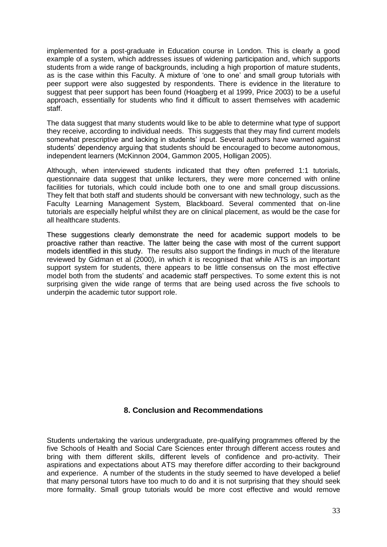implemented for a post-graduate in Education course in London. This is clearly a good example of a system, which addresses issues of widening participation and, which supports students from a wide range of backgrounds, including a high proportion of mature students, as is the case within this Faculty. A mixture of "one to one" and small group tutorials with peer support were also suggested by respondents. There is evidence in the literature to suggest that peer support has been found (Hoagberg et al 1999, Price 2003) to be a useful approach, essentially for students who find it difficult to assert themselves with academic staff.

The data suggest that many students would like to be able to determine what type of support they receive, according to individual needs. This suggests that they may find current models somewhat prescriptive and lacking in students' input. Several authors have warned against students" dependency arguing that students should be encouraged to become autonomous, independent learners (McKinnon 2004, Gammon 2005, Holligan 2005).

Although, when interviewed students indicated that they often preferred 1:1 tutorials, questionnaire data suggest that unlike lecturers, they were more concerned with online facilities for tutorials, which could include both one to one and small group discussions. They felt that both staff and students should be conversant with new technology, such as the Faculty Learning Management System, Blackboard. Several commented that on-line tutorials are especially helpful whilst they are on clinical placement, as would be the case for all healthcare students.

These suggestions clearly demonstrate the need for academic support models to be proactive rather than reactive. The latter being the case with most of the current support models identified in this study. The results also support the findings in much of the literature reviewed by Gidman et al (2000), in which it is recognised that while ATS is an important support system for students, there appears to be little consensus on the most effective model both from the students" and academic staff perspectives. To some extent this is not surprising given the wide range of terms that are being used across the five schools to underpin the academic tutor support role.

#### **8. Conclusion and Recommendations**

Students undertaking the various undergraduate, pre-qualifying programmes offered by the five Schools of Health and Social Care Sciences enter through different access routes and bring with them different skills, different levels of confidence and pro-activity. Their aspirations and expectations about ATS may therefore differ according to their background and experience. A number of the students in the study seemed to have developed a belief that many personal tutors have too much to do and it is not surprising that they should seek more formality. Small group tutorials would be more cost effective and would remove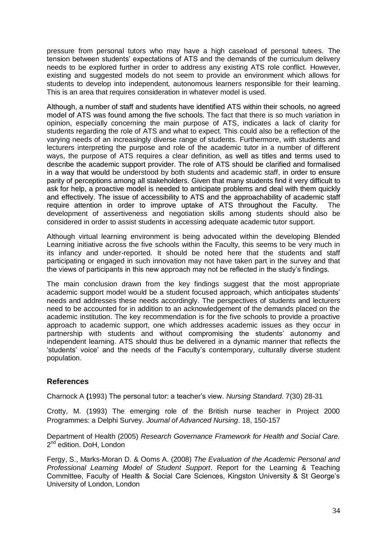pressure from personal tutors who may have a high caseload of personal tutees. The tension between students" expectations of ATS and the demands of the curriculum delivery needs to be explored further in order to address any existing ATS role conflict. However, existing and suggested models do not seem to provide an environment which allows for students to develop into independent, autonomous learners responsible for their learning. This is an area that requires consideration in whatever model is used.

Although, a number of staff and students have identified ATS within their schools, no agreed model of ATS was found among the five schools. The fact that there is so much variation in opinion, especially concerning the main purpose of ATS, indicates a lack of clarity for students regarding the role of ATS and what to expect. This could also be a reflection of the varying needs of an increasingly diverse range of students. Furthermore, with students and lecturers interpreting the purpose and role of the academic tutor in a number of different ways, the purpose of ATS requires a clear definition, as well as titles and terms used to describe the academic support provider. The role of ATS should be clarified and formalised in a way that would be understood by both students and academic staff, in order to ensure parity of perceptions among all stakeholders. Given that many students find it very difficult to ask for help, a proactive model is needed to anticipate problems and deal with them quickly and effectively. The issue of accessibility to ATS and the approachability of academic staff require attention in order to improve uptake of ATS throughout the Faculty. The development of assertiveness and negotiation skills among students should also be considered in order to assist students in accessing adequate academic tutor support.

Although virtual learning environment is being advocated within the developing Blended Learning initiative across the five schools within the Faculty, this seems to be very much in its infancy and under-reported. It should be noted here that the students and staff participating or engaged in such innovation may not have taken part in the survey and that the views of participants in this new approach may not be reflected in the study"s findings.

The main conclusion drawn from the key findings suggest that the most appropriate academic support model would be a student focused approach, which anticipates students" needs and addresses these needs accordingly. The perspectives of students and lecturers need to be accounted for in addition to an acknowledgement of the demands placed on the academic institution. The key recommendation is for the five schools to provide a proactive approach to academic support, one which addresses academic issues as they occur in partnership with students and without compromising the students" autonomy and independent learning. ATS should thus be delivered in a dynamic manner that reflects the "students" voice" and the needs of the Faculty"s contemporary, culturally diverse student population.

#### **References**

Charnock A **(**1993) The personal tutor: a teacher"s view. *Nursing Standard*. 7(30) 28-31

Crotty, M. (1993) The emerging role of the British nurse teacher in Project 2000 Programmes: a Delphi Survey*. Journal of Advanced Nursing*. 18, 150-157

Department of Health (2005) *Research Governance Framework for Health and Social Care.* 2<sup>nd</sup> edition. DoH, London

Fergy, S., Marks-Moran D. & Ooms A. (2008) *The Evaluation of the Academic Personal and Professional Learning Model of Student Support*. Report for the Learning & Teaching Committee, Faculty of Health & Social Care Sciences, Kingston University & St George"s University of London, London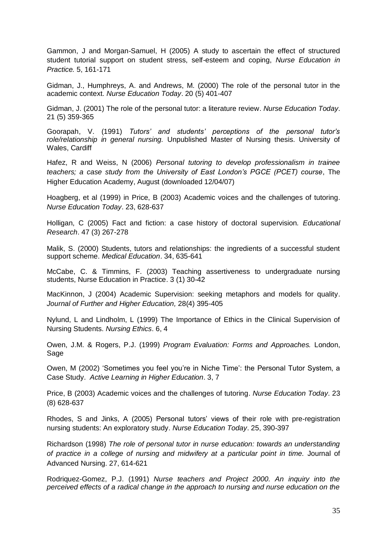Gammon, J and Morgan-Samuel, H (2005) A study to ascertain the effect of structured student tutorial support on student stress, self-esteem and coping, *Nurse Education in Practice.* 5, 161-171

Gidman, J., Humphreys, A. and Andrews, M. (2000) The role of the personal tutor in the academic context. *Nurse Education Today*. 20 (5) 401-407

Gidman, J. (2001) The role of the personal tutor: a literature review. *Nurse Education Today*. 21 (5) 359-365

Goorapah, V. (1991) *Tutors" and students" perceptions of the personal tutor"s role/relationship in general nursing.* Unpublished Master of Nursing thesis. University of Wales, Cardiff

Hafez, R and Weiss, N (2006) *Personal tutoring to develop professionalism in trainee teachers; a case study from the University of East London"s PGCE (PCET) course*, The Higher Education Academy, August (downloaded 12/04/07)

Hoagberg, et al (1999) in Price, B (2003) Academic voices and the challenges of tutoring. *Nurse Education Today*. 23, 628-637

Holligan, C (2005) Fact and fiction: a case history of doctoral supervision*. Educational Research*. 47 (3) 267-278

Malik, S. (2000) Students, tutors and relationships: the ingredients of a successful student support scheme. *Medical Education*. 34, 635-641

McCabe, C. & Timmins, F. (2003) Teaching assertiveness to undergraduate nursing students, Nurse Education in Practice. 3 (1) 30-42

MacKinnon, J (2004) Academic Supervision: seeking metaphors and models for quality. *Journal of Further and Higher Education,* 28(4) 395-405

Nylund, L and Lindholm, L (1999) The Importance of Ethics in the Clinical Supervision of Nursing Students. *Nursing Ethics*. 6, 4

Owen, J.M. & Rogers, P.J. (1999) *Program Evaluation: Forms and Approaches.* London, **Sage** 

Owen, M (2002) "Sometimes you feel you"re in Niche Time": the Personal Tutor System, a Case Study. *Active Learning in Higher Education*. 3, 7

Price, B (2003) Academic voices and the challenges of tutoring. *Nurse Education Today*. 23 (8) 628-637

Rhodes, S and Jinks, A (2005) Personal tutors" views of their role with pre-registration nursing students: An exploratory study. *Nurse Education Today*. 25, 390-397

Richardson (1998) *The role of personal tutor in nurse education: towards an understanding of practice in a college of nursing and midwifery at a particular point in time.* Journal of Advanced Nursing. 27, 614-621

Rodriquez-Gomez, P.J. (1991) *Nurse teachers and Project 2000. An inquiry into the perceived effects of a radical change in the approach to nursing and nurse education on the*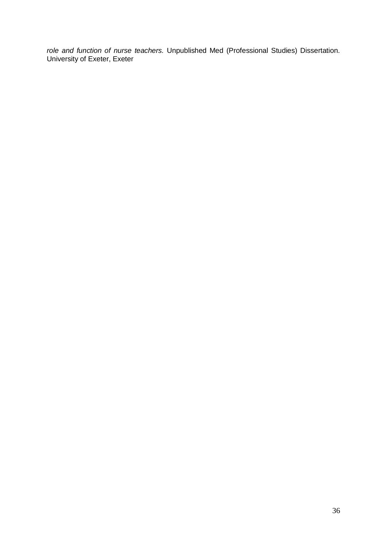*role and function of nurse teachers.* Unpublished Med (Professional Studies) Dissertation. University of Exeter, Exeter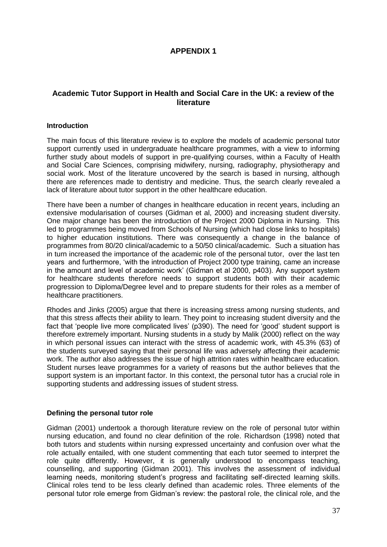#### **APPENDIX 1**

#### **Academic Tutor Support in Health and Social Care in the UK: a review of the literature**

#### **Introduction**

The main focus of this literature review is to explore the models of academic personal tutor support currently used in undergraduate healthcare programmes, with a view to informing further study about models of support in pre-qualifying courses, within a Faculty of Health and Social Care Sciences, comprising midwifery, nursing, radiography, physiotherapy and social work. Most of the literature uncovered by the search is based in nursing, although there are references made to dentistry and medicine. Thus, the search clearly revealed a lack of literature about tutor support in the other healthcare education.

There have been a number of changes in healthcare education in recent years, including an extensive modularisation of courses (Gidman et al, 2000) and increasing student diversity. One major change has been the introduction of the Project 2000 Diploma in Nursing. This led to programmes being moved from Schools of Nursing (which had close links to hospitals) to higher education institutions. There was consequently a change in the balance of programmes from 80/20 clinical/academic to a 50/50 clinical/academic. Such a situation has in turn increased the importance of the academic role of the personal tutor, over the last ten years and furthermore, "with the introduction of Project 2000 type training, came an increase in the amount and level of academic work" (Gidman et al 2000, p403). Any support system for healthcare students therefore needs to support students both with their academic progression to Diploma/Degree level and to prepare students for their roles as a member of healthcare practitioners.

Rhodes and Jinks (2005) argue that there is increasing stress among nursing students, and that this stress affects their ability to learn. They point to increasing student diversity and the fact that 'people live more complicated lives' (p390). The need for 'good' student support is therefore extremely important. Nursing students in a study by Malik (2000) reflect on the way in which personal issues can interact with the stress of academic work, with 45.3% (63) of the students surveyed saying that their personal life was adversely affecting their academic work. The author also addresses the issue of high attrition rates within healthcare education. Student nurses leave programmes for a variety of reasons but the author believes that the support system is an important factor. In this context, the personal tutor has a crucial role in supporting students and addressing issues of student stress.

#### **Defining the personal tutor role**

Gidman (2001) undertook a thorough literature review on the role of personal tutor within nursing education, and found no clear definition of the role. Richardson (1998) noted that both tutors and students within nursing expressed uncertainty and confusion over what the role actually entailed, with one student commenting that each tutor seemed to interpret the role quite differently. However, it is generally understood to encompass teaching, counselling, and supporting (Gidman 2001). This involves the assessment of individual learning needs, monitoring student"s progress and facilitating self-directed learning skills. Clinical roles tend to be less clearly defined than academic roles. Three elements of the personal tutor role emerge from Gidman"s review: the pastoral role, the clinical role, and the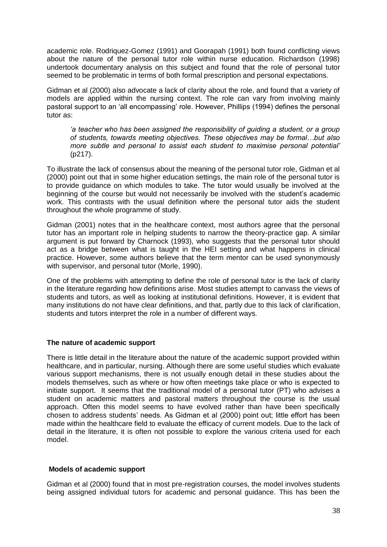academic role. Rodriquez-Gomez (1991) and Goorapah (1991) both found conflicting views about the nature of the personal tutor role within nurse education. Richardson (1998) undertook documentary analysis on this subject and found that the role of personal tutor seemed to be problematic in terms of both formal prescription and personal expectations.

Gidman et al (2000) also advocate a lack of clarity about the role, and found that a variety of models are applied within the nursing context. The role can vary from involving mainly pastoral support to an "all encompassing" role. However, Phillips (1994) defines the personal tutor as:

*"a teacher who has been assigned the responsibility of guiding a student, or a group of students, towards meeting objectives. These objectives may be formal…but also more subtle and personal to assist each student to maximise personal potential"* (p217).

To illustrate the lack of consensus about the meaning of the personal tutor role, Gidman et al (2000) point out that in some higher education settings, the main role of the personal tutor is to provide guidance on which modules to take. The tutor would usually be involved at the beginning of the course but would not necessarily be involved with the student"s academic work. This contrasts with the usual definition where the personal tutor aids the student throughout the whole programme of study.

Gidman (2001) notes that in the healthcare context, most authors agree that the personal tutor has an important role in helping students to narrow the theory-practice gap. A similar argument is put forward by Charnock (1993), who suggests that the personal tutor should act as a bridge between what is taught in the HEI setting and what happens in clinical practice. However, some authors believe that the term mentor can be used synonymously with supervisor, and personal tutor (Morle, 1990).

One of the problems with attempting to define the role of personal tutor is the lack of clarity in the literature regarding how definitions arise. Most studies attempt to canvass the views of students and tutors, as well as looking at institutional definitions. However, it is evident that many institutions do not have clear definitions, and that, partly due to this lack of clarification, students and tutors interpret the role in a number of different ways.

#### **The nature of academic support**

There is little detail in the literature about the nature of the academic support provided within healthcare, and in particular, nursing. Although there are some useful studies which evaluate various support mechanisms, there is not usually enough detail in these studies about the models themselves, such as where or how often meetings take place or who is expected to initiate support. It seems that the traditional model of a personal tutor (PT) who advises a student on academic matters and pastoral matters throughout the course is the usual approach. Often this model seems to have evolved rather than have been specifically chosen to address students" needs. As Gidman et al (2000) point out; little effort has been made within the healthcare field to evaluate the efficacy of current models. Due to the lack of detail in the literature, it is often not possible to explore the various criteria used for each model.

#### **Models of academic support**

Gidman et al (2000) found that in most pre-registration courses, the model involves students being assigned individual tutors for academic and personal guidance. This has been the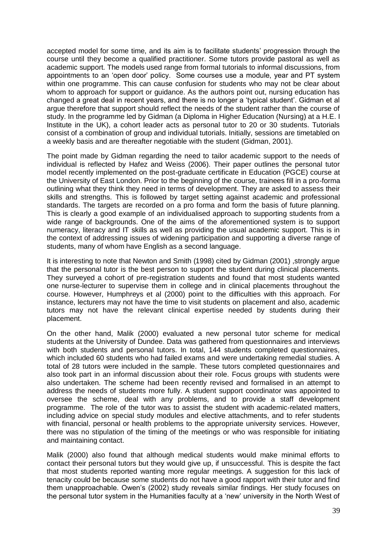accepted model for some time, and its aim is to facilitate students" progression through the course until they become a qualified practitioner. Some tutors provide pastoral as well as academic support. The models used range from formal tutorials to informal discussions, from appointments to an "open door" policy. Some courses use a module, year and PT system within one programme. This can cause confusion for students who may not be clear about whom to approach for support or guidance. As the authors point out, nursing education has changed a great deal in recent years, and there is no longer a "typical student". Gidman et al argue therefore that support should reflect the needs of the student rather than the course of study. In the programme led by Gidman (a Diploma in Higher Education (Nursing) at a H.E. I Institute in the UK), a cohort leader acts as personal tutor to 20 or 30 students. Tutorials consist of a combination of group and individual tutorials. Initially, sessions are timetabled on a weekly basis and are thereafter negotiable with the student (Gidman, 2001).

The point made by Gidman regarding the need to tailor academic support to the needs of individual is reflected by Hafez and Weiss (2006). Their paper outlines the personal tutor model recently implemented on the post-graduate certificate in Education (PGCE) course at the University of East London. Prior to the beginning of the course, trainees fill in a pro-forma outlining what they think they need in terms of development. They are asked to assess their skills and strengths. This is followed by target setting against academic and professional standards. The targets are recorded on a pro forma and form the basis of future planning. This is clearly a good example of an individualised approach to supporting students from a wide range of backgrounds. One of the aims of the aforementioned system is to support numeracy, literacy and IT skills as well as providing the usual academic support. This is in the context of addressing issues of widening participation and supporting a diverse range of students, many of whom have English as a second language.

It is interesting to note that Newton and Smith (1998) cited by Gidman (2001) , strongly argue that the personal tutor is the best person to support the student during clinical placements. They surveyed a cohort of pre-registration students and found that most students wanted one nurse-lecturer to supervise them in college and in clinical placements throughout the course. However, Humphreys et al (2000) point to the difficulties with this approach. For instance, lecturers may not have the time to visit students on placement and also, academic tutors may not have the relevant clinical expertise needed by students during their placement.

On the other hand, Malik (2000) evaluated a new personal tutor scheme for medical students at the University of Dundee. Data was gathered from questionnaires and interviews with both students and personal tutors. In total, 144 students completed questionnaires, which included 60 students who had failed exams and were undertaking remedial studies. A total of 28 tutors were included in the sample. These tutors completed questionnaires and also took part in an informal discussion about their role. Focus groups with students were also undertaken. The scheme had been recently revised and formalised in an attempt to address the needs of students more fully. A student support coordinator was appointed to oversee the scheme, deal with any problems, and to provide a staff development programme. The role of the tutor was to assist the student with academic-related matters, including advice on special study modules and elective attachments, and to refer students with financial, personal or health problems to the appropriate university services. However, there was no stipulation of the timing of the meetings or who was responsible for initiating and maintaining contact.

Malik (2000) also found that although medical students would make minimal efforts to contact their personal tutors but they would give up, if unsuccessful. This is despite the fact that most students reported wanting more regular meetings. A suggestion for this lack of tenacity could be because some students do not have a good rapport with their tutor and find them unapproachable. Owen"s (2002) study reveals similar findings. Her study focuses on the personal tutor system in the Humanities faculty at a "new" university in the North West of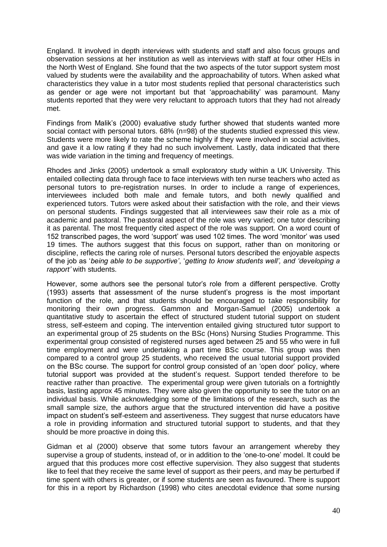England. It involved in depth interviews with students and staff and also focus groups and observation sessions at her institution as well as interviews with staff at four other HEIs in the North West of England. She found that the two aspects of the tutor support system most valued by students were the availability and the approachability of tutors. When asked what characteristics they value in a tutor most students replied that personal characteristics such as gender or age were not important but that "approachability" was paramount. Many students reported that they were very reluctant to approach tutors that they had not already met.

Findings from Malik's (2000) evaluative study further showed that students wanted more social contact with personal tutors. 68% (n=98) of the students studied expressed this view. Students were more likely to rate the scheme highly if they were involved in social activities, and gave it a low rating if they had no such involvement. Lastly, data indicated that there was wide variation in the timing and frequency of meetings.

Rhodes and Jinks (2005) undertook a small exploratory study within a UK University. This entailed collecting data through face to face interviews with ten nurse teachers who acted as personal tutors to pre-registration nurses. In order to include a range of experiences, interviewees included both male and female tutors, and both newly qualified and experienced tutors. Tutors were asked about their satisfaction with the role, and their views on personal students. Findings suggested that all interviewees saw their role as a mix of academic and pastoral. The pastoral aspect of the role was very varied; one tutor describing it as parental. The most frequently cited aspect of the role was support. On a word count of 152 transcribed pages, the word "support" was used 102 times. The word "monitor" was used 19 times. The authors suggest that this focus on support, rather than on monitoring or discipline, reflects the caring role of nurses. Personal tutors described the enjoyable aspects of the job as "*being able to be supportive"*, "*getting to know students well", and "developing a rapport"* with students.

However, some authors see the personal tutor"s role from a different perspective. Crotty (1993) asserts that assessment of the nurse student"s progress is the most important function of the role, and that students should be encouraged to take responsibility for monitoring their own progress. Gammon and Morgan-Samuel (2005) undertook a quantitative study to ascertain the effect of structured student tutorial support on student stress, self-esteem and coping. The intervention entailed giving structured tutor support to an experimental group of 25 students on the BSc (Hons) Nursing Studies Programme. This experimental group consisted of registered nurses aged between 25 and 55 who were in full time employment and were undertaking a part time BSc course. This group was then compared to a control group 25 students, who received the usual tutorial support provided on the BSc course. The support for control group consisted of an "open door" policy, where tutorial support was provided at the student"s request. Support tended therefore to be reactive rather than proactive. The experimental group were given tutorials on a fortnightly basis, lasting approx 45 minutes. They were also given the opportunity to see the tutor on an individual basis. While acknowledging some of the limitations of the research, such as the small sample size, the authors argue that the structured intervention did have a positive impact on student's self-esteem and assertiveness. They suggest that nurse educators have a role in providing information and structured tutorial support to students, and that they should be more proactive in doing this.

Gidman et al (2000) observe that some tutors favour an arrangement whereby they supervise a group of students, instead of, or in addition to the "one-to-one" model. It could be argued that this produces more cost effective supervision. They also suggest that students like to feel that they receive the same level of support as their peers, and may be perturbed if time spent with others is greater, or if some students are seen as favoured. There is support for this in a report by Richardson (1998) who cites anecdotal evidence that some nursing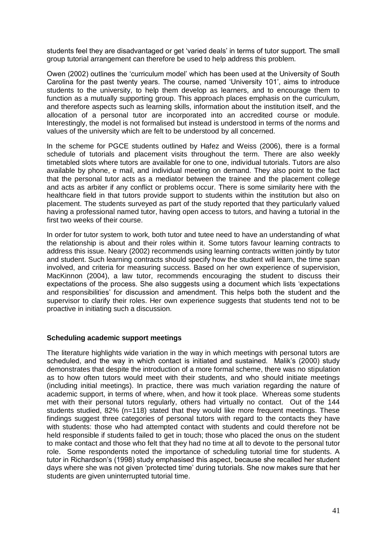students feel they are disadvantaged or get "varied deals" in terms of tutor support. The small group tutorial arrangement can therefore be used to help address this problem.

Owen (2002) outlines the "curriculum model" which has been used at the University of South Carolina for the past twenty years. The course, named "University 101", aims to introduce students to the university, to help them develop as learners, and to encourage them to function as a mutually supporting group. This approach places emphasis on the curriculum, and therefore aspects such as learning skills, information about the institution itself, and the allocation of a personal tutor are incorporated into an accredited course or module. Interestingly, the model is not formalised but instead is understood in terms of the norms and values of the university which are felt to be understood by all concerned.

In the scheme for PGCE students outlined by Hafez and Weiss (2006), there is a formal schedule of tutorials and placement visits throughout the term. There are also weekly timetabled slots where tutors are available for one to one, individual tutorials. Tutors are also available by phone, e mail, and individual meeting on demand. They also point to the fact that the personal tutor acts as a mediator between the trainee and the placement college and acts as arbiter if any conflict or problems occur. There is some similarity here with the healthcare field in that tutors provide support to students within the institution but also on placement. The students surveyed as part of the study reported that they particularly valued having a professional named tutor, having open access to tutors, and having a tutorial in the first two weeks of their course.

In order for tutor system to work, both tutor and tutee need to have an understanding of what the relationship is about and their roles within it. Some tutors favour learning contracts to address this issue. Neary (2002) recommends using learning contracts written jointly by tutor and student. Such learning contracts should specify how the student will learn, the time span involved, and criteria for measuring success. Based on her own experience of supervision, MacKinnon (2004), a law tutor, recommends encouraging the student to discuss their expectations of the process. She also suggests using a document which lists "expectations and responsibilities' for discussion and amendment. This helps both the student and the supervisor to clarify their roles. Her own experience suggests that students tend not to be proactive in initiating such a discussion.

#### **Scheduling academic support meetings**

The literature highlights wide variation in the way in which meetings with personal tutors are scheduled, and the way in which contact is initiated and sustained. Malik"s (2000) study demonstrates that despite the introduction of a more formal scheme, there was no stipulation as to how often tutors would meet with their students, and who should initiate meetings (including initial meetings). In practice, there was much variation regarding the nature of academic support, in terms of where, when, and how it took place. Whereas some students met with their personal tutors regularly, others had virtually no contact. Out of the 144 students studied, 82% (n=118) stated that they would like more frequent meetings. These findings suggest three categories of personal tutors with regard to the contacts they have with students: those who had attempted contact with students and could therefore not be held responsible if students failed to get in touch; those who placed the onus on the student to make contact and those who felt that they had no time at all to devote to the personal tutor role. Some respondents noted the importance of scheduling tutorial time for students. A tutor in Richardson"s (1998) study emphasised this aspect, because she recalled her student days where she was not given "protected time" during tutorials. She now makes sure that her students are given uninterrupted tutorial time.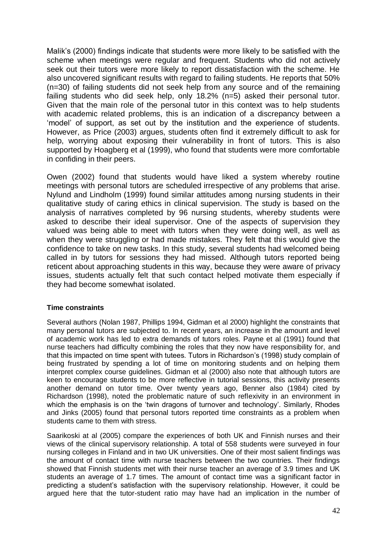Malik"s (2000) findings indicate that students were more likely to be satisfied with the scheme when meetings were regular and frequent. Students who did not actively seek out their tutors were more likely to report dissatisfaction with the scheme. He also uncovered significant results with regard to failing students. He reports that 50% (n=30) of failing students did not seek help from any source and of the remaining failing students who did seek help, only 18.2% (n=5) asked their personal tutor. Given that the main role of the personal tutor in this context was to help students with academic related problems, this is an indication of a discrepancy between a 'model' of support, as set out by the institution and the experience of students. However, as Price (2003) argues, students often find it extremely difficult to ask for help, worrying about exposing their vulnerability in front of tutors. This is also supported by Hoagberg et al (1999), who found that students were more comfortable in confiding in their peers.

Owen (2002) found that students would have liked a system whereby routine meetings with personal tutors are scheduled irrespective of any problems that arise. Nylund and Lindholm (1999) found similar attitudes among nursing students in their qualitative study of caring ethics in clinical supervision. The study is based on the analysis of narratives completed by 96 nursing students, whereby students were asked to describe their ideal supervisor. One of the aspects of supervision they valued was being able to meet with tutors when they were doing well, as well as when they were struggling or had made mistakes. They felt that this would give the confidence to take on new tasks. In this study, several students had welcomed being called in by tutors for sessions they had missed. Although tutors reported being reticent about approaching students in this way, because they were aware of privacy issues, students actually felt that such contact helped motivate them especially if they had become somewhat isolated.

#### **Time constraints**

Several authors (Nolan 1987, Phillips 1994, Gidman et al 2000) highlight the constraints that many personal tutors are subjected to. In recent years, an increase in the amount and level of academic work has led to extra demands of tutors roles. Payne et al (1991) found that nurse teachers had difficulty combining the roles that they now have responsibility for, and that this impacted on time spent with tutees. Tutors in Richardson"s (1998) study complain of being frustrated by spending a lot of time on monitoring students and on helping them interpret complex course guidelines. Gidman et al (2000) also note that although tutors are keen to encourage students to be more reflective in tutorial sessions, this activity presents another demand on tutor time. Over twenty years ago, Benner also (1984) cited by Richardson (1998), noted the problematic nature of such reflexivity in an environment in which the emphasis is on the 'twin dragons of turnover and technology'. Similarly, Rhodes and Jinks (2005) found that personal tutors reported time constraints as a problem when students came to them with stress.

Saarikoski at al (2005) compare the experiences of both UK and Finnish nurses and their views of the clinical supervisory relationship. A total of 558 students were surveyed in four nursing colleges in Finland and in two UK universities. One of their most salient findings was the amount of contact time with nurse teachers between the two countries. Their findings showed that Finnish students met with their nurse teacher an average of 3.9 times and UK students an average of 1.7 times. The amount of contact time was a significant factor in predicting a student"s satisfaction with the supervisory relationship. However, it could be argued here that the tutor-student ratio may have had an implication in the number of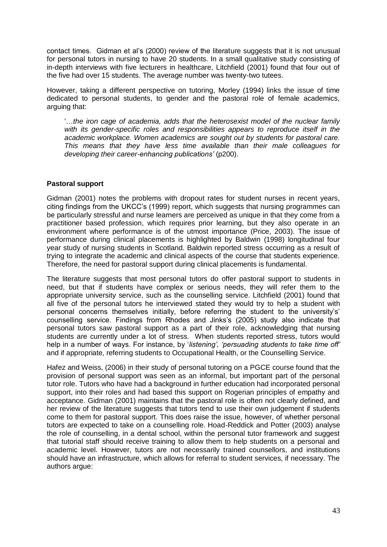contact times. Gidman et al"s (2000) review of the literature suggests that it is not unusual for personal tutors in nursing to have 20 students. In a small qualitative study consisting of in-depth interviews with five lecturers in healthcare, Litchfield (2001) found that four out of the five had over 15 students. The average number was twenty-two tutees.

However, taking a different perspective on tutoring, Morley (1994) links the issue of time dedicated to personal students, to gender and the pastoral role of female academics, arguing that:

"…*the iron cage of academia, adds that the heterosexist model of the nuclear family with its gender-specific roles and responsibilities appears to reproduce itself in the academic workplace. Women academics are sought out by students for pastoral care. This means that they have less time available than their male colleagues for developing their career-enhancing publications"* (p200).

#### **Pastoral support**

Gidman (2001) notes the problems with dropout rates for student nurses in recent years, citing findings from the UKCC"s (1999) report, which suggests that nursing programmes can be particularly stressful and nurse learners are perceived as unique in that they come from a practitioner based profession, which requires prior learning, but they also operate in an environment where performance is of the utmost importance (Price, 2003). The issue of performance during clinical placements is highlighted by Baldwin (1998) longitudinal four year study of nursing students in Scotland. Baldwin reported stress occurring as a result of trying to integrate the academic and clinical aspects of the course that students experience. Therefore, the need for pastoral support during clinical placements is fundamental.

The literature suggests that most personal tutors do offer pastoral support to students in need, but that if students have complex or serious needs, they will refer them to the appropriate university service, such as the counselling service. Litchfield (2001) found that all five of the personal tutors he interviewed stated they would try to help a student with personal concerns themselves initially, before referring the student to the university"s" counselling service. Findings from Rhodes and Jinks"s (2005) study also indicate that personal tutors saw pastoral support as a part of their role, acknowledging that nursing students are currently under a lot of stress. When students reported stress, tutors would help in a number of ways. For instance, by 'listening', 'persuading students to take time off' and if appropriate, referring students to Occupational Health, or the Counselling Service.

Hafez and Weiss, (2006) in their study of personal tutoring on a PGCE course found that the provision of personal support was seen as an informal, but important part of the personal tutor role. Tutors who have had a background in further education had incorporated personal support, into their roles and had based this support on Rogerian principles of empathy and acceptance. Gidman (2001) maintains that the pastoral role is often not clearly defined, and her review of the literature suggests that tutors tend to use their own judgement if students come to them for pastoral support. This does raise the issue, however, of whether personal tutors are expected to take on a counselling role. Hoad-Reddick and Potter (2003) analyse the role of counselling, in a dental school, within the personal tutor framework and suggest that tutorial staff should receive training to allow them to help students on a personal and academic level. However, tutors are not necessarily trained counsellors, and institutions should have an infrastructure, which allows for referral to student services, if necessary. The authors argue: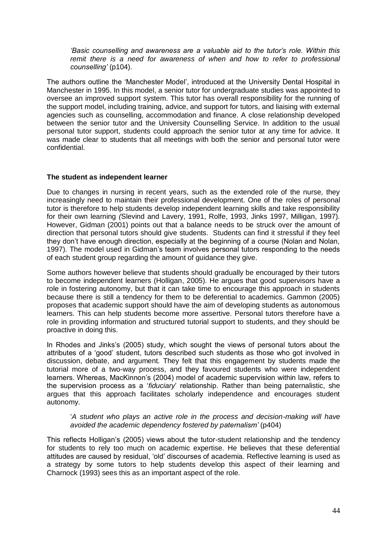*"Basic counselling and awareness are a valuable aid to the tutor"s role. Within this remit there is a need for awareness of when and how to refer to professional counselling"* (p104).

The authors outline the "Manchester Model", introduced at the University Dental Hospital in Manchester in 1995. In this model, a senior tutor for undergraduate studies was appointed to oversee an improved support system. This tutor has overall responsibility for the running of the support model, including training, advice, and support for tutors, and liaising with external agencies such as counselling, accommodation and finance. A close relationship developed between the senior tutor and the University Counselling Service. In addition to the usual personal tutor support, students could approach the senior tutor at any time for advice. It was made clear to students that all meetings with both the senior and personal tutor were confidential.

#### **The student as independent learner**

Due to changes in nursing in recent years, such as the extended role of the nurse, they increasingly need to maintain their professional development. One of the roles of personal tutor is therefore to help students develop independent learning skills and take responsibility for their own learning *(*Slevind and Lavery, 1991, Rolfe, 1993, Jinks 1997, Milligan, 1997). However, Gidman (2001) points out that a balance needs to be struck over the amount of direction that personal tutors should give students. Students can find it stressful if they feel they don"t have enough direction, especially at the beginning of a course (Nolan and Nolan, 1997). The model used in Gidman"s team involves personal tutors responding to the needs of each student group regarding the amount of guidance they give.

Some authors however believe that students should gradually be encouraged by their tutors to become independent learners (Holligan, 2005). He argues that good supervisors have a role in fostering autonomy, but that it can take time to encourage this approach in students because there is still a tendency for them to be deferential to academics. Gammon (2005) proposes that academic support should have the aim of developing students as autonomous learners. This can help students become more assertive. Personal tutors therefore have a role in providing information and structured tutorial support to students, and they should be proactive in doing this.

In Rhodes and Jinks"s (2005) study, which sought the views of personal tutors about the attributes of a "good" student, tutors described such students as those who got involved in discussion, debate, and argument. They felt that this engagement by students made the tutorial more of a two-way process, and they favoured students who were independent learners. Whereas, MacKinnon"s (2004) model of academic supervision within law, refers to the supervision process as a "*fiduciary*" relationship. Rather than being paternalistic, she argues that this approach facilitates scholarly independence and encourages student autonomy.

#### "*A student who plays an active role in the process and decision-making will have avoided the academic dependency fostered by paternalism"* (p404)

This reflects Holligan"s (2005) views about the tutor-student relationship and the tendency for students to rely too much on academic expertise. He believes that these deferential attitudes are caused by residual, "old" discourses of academia. Reflective learning is used as a strategy by some tutors to help students develop this aspect of their learning and Charnock (1993) sees this as an important aspect of the role.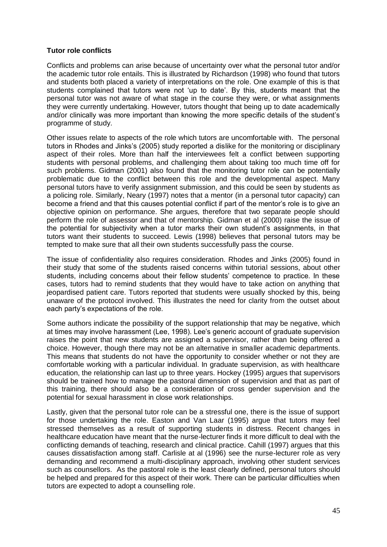#### **Tutor role conflicts**

Conflicts and problems can arise because of uncertainty over what the personal tutor and/or the academic tutor role entails. This is illustrated by Richardson (1998) who found that tutors and students both placed a variety of interpretations on the role. One example of this is that students complained that tutors were not "up to date". By this, students meant that the personal tutor was not aware of what stage in the course they were, or what assignments they were currently undertaking. However, tutors thought that being up to date academically and/or clinically was more important than knowing the more specific details of the student"s programme of study.

Other issues relate to aspects of the role which tutors are uncomfortable with. The personal tutors in Rhodes and Jinks"s (2005) study reported a dislike for the monitoring or disciplinary aspect of their roles. More than half the interviewees felt a conflict between supporting students with personal problems, and challenging them about taking too much time off for such problems. Gidman (2001) also found that the monitoring tutor role can be potentially problematic due to the conflict between this role and the developmental aspect. Many personal tutors have to verify assignment submission, and this could be seen by students as a policing role. Similarly, Neary (1997) notes that a mentor (in a personal tutor capacity) can become a friend and that this causes potential conflict if part of the mentor"s role is to give an objective opinion on performance. She argues, therefore that two separate people should perform the role of assessor and that of mentorship. Gidman et al (2000) raise the issue of the potential for subjectivity when a tutor marks their own student"s assignments, in that tutors want their students to succeed. Lewis (1998) believes that personal tutors may be tempted to make sure that all their own students successfully pass the course.

The issue of confidentiality also requires consideration. Rhodes and Jinks (2005) found in their study that some of the students raised concerns within tutorial sessions, about other students, including concerns about their fellow students' competence to practice. In these cases, tutors had to remind students that they would have to take action on anything that jeopardised patient care. Tutors reported that students were usually shocked by this, being unaware of the protocol involved. This illustrates the need for clarity from the outset about each party"s expectations of the role.

Some authors indicate the possibility of the support relationship that may be negative, which at times may involve harassment (Lee, 1998). Lee"s generic account of graduate supervision raises the point that new students are assigned a supervisor, rather than being offered a choice. However, though there may not be an alternative in smaller academic departments. This means that students do not have the opportunity to consider whether or not they are comfortable working with a particular individual. In graduate supervision, as with healthcare education, the relationship can last up to three years. Hockey (1995) argues that supervisors should be trained how to manage the pastoral dimension of supervision and that as part of this training, there should also be a consideration of cross gender supervision and the potential for sexual harassment in close work relationships.

Lastly, given that the personal tutor role can be a stressful one, there is the issue of support for those undertaking the role. Easton and Van Laar (1995) argue that tutors may feel stressed themselves as a result of supporting students in distress. Recent changes in healthcare education have meant that the nurse-lecturer finds it more difficult to deal with the conflicting demands of teaching, research and clinical practice. Cahill (1997) argues that this causes dissatisfaction among staff. Carlisle at al (1996) see the nurse-lecturer role as very demanding and recommend a multi-disciplinary approach, involving other student services such as counsellors. As the pastoral role is the least clearly defined, personal tutors should be helped and prepared for this aspect of their work. There can be particular difficulties when tutors are expected to adopt a counselling role.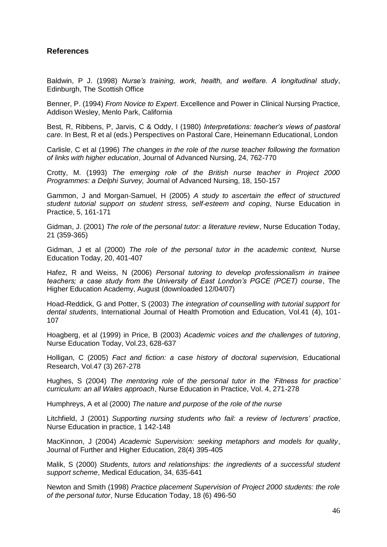#### **References**

Baldwin, P J. (1998) *Nurse"s training, work, health, and welfare. A longitudinal study*, Edinburgh, The Scottish Office

Benner, P. (1994) *From Novice to Expert*. Excellence and Power in Clinical Nursing Practice, Addison Wesley, Menlo Park, California

Best, R, Ribbens, P, Jarvis, C & Oddy, I (1980) *Interpretations: teacher"s views of pastoral care.* In Best, R et al (eds.) Perspectives on Pastoral Care, Heinemann Educational, London

Carlisle, C et al (1996) *The changes in the role of the nurse teacher following the formation of links with higher education*, Journal of Advanced Nursing, 24, 762-770

Crotty, M. (1993) *The emerging role of the British nurse teacher in Project 2000 Programmes: a Delphi Survey,* Journal of Advanced Nursing, 18, 150-157

Gammon, J and Morgan-Samuel, H (2005) *A study to ascertain the effect of structured student tutorial support on student stress, self-esteem and coping*, Nurse Education in Practice, 5, 161-171

Gidman, J. (2001) *The role of the personal tutor: a literature review*, Nurse Education Today, 21 (359-365)

Gidman, J et al (2000) *The role of the personal tutor in the academic context,* Nurse Education Today, 20, 401-407

Hafez, R and Weiss, N (2006) *Personal tutoring to develop professionalism in trainee teachers; a case study from the University of East London"s PGCE (PCET) course*, The Higher Education Academy, August (downloaded 12/04/07)

Hoad-Reddick, G and Potter, S (2003) *The integration of counselling with tutorial support for dental students*, International Journal of Health Promotion and Education, Vol.41 (4), 101- 107

Hoagberg, et al (1999) in Price, B (2003) *Academic voices and the challenges of tutoring*, Nurse Education Today, Vol.23, 628-637

Holligan, C (2005) *Fact and fiction: a case history of doctoral supervision,* Educational Research, Vol.47 (3) 267-278

Hughes, S (2004) *The mentoring role of the personal tutor in the "Fitness for practice" curriculum: an all Wales approach*, Nurse Education in Practice, Vol. 4, 271-278

Humphreys, A et al (2000) *The nature and purpose of the role of the nurse* 

Litchfield, J (2001) *Supporting nursing students who fail: a review of lecturers" practice*, Nurse Education in practice, 1 142-148

MacKinnon, J (2004) *Academic Supervision: seeking metaphors and models for quality*, Journal of Further and Higher Education, 28(4) 395-405

Malik, S (2000) *Students, tutors and relationships: the ingredients of a successful student support scheme*, Medical Education, 34, 635-641

Newton and Smith (1998) *Practice placement Supervision of Project 2000 students: the role of the personal tutor*, Nurse Education Today, 18 (6) 496-50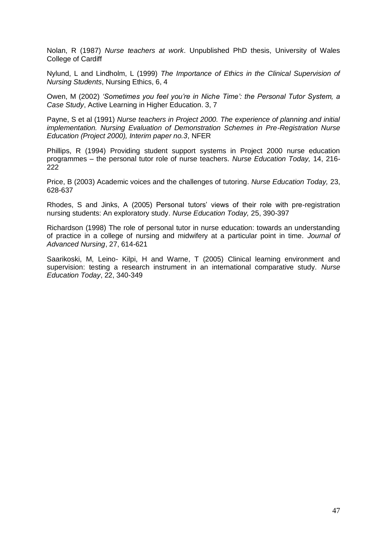Nolan, R (1987) *Nurse teachers at work*. Unpublished PhD thesis, University of Wales College of Cardiff

Nylund, L and Lindholm, L (1999) *The Importance of Ethics in the Clinical Supervision of Nursing Students*, Nursing Ethics, 6, 4

Owen, M (2002) *"Sometimes you feel you"re in Niche Time": the Personal Tutor System, a Case Study*, Active Learning in Higher Education. 3, 7

Payne, S et al (1991) *Nurse teachers in Project 2000. The experience of planning and initial implementation. Nursing Evaluation of Demonstration Schemes in Pre-Registration Nurse Education (Project 2000), Interim paper no.3*, NFER

Phillips, R (1994) Providing student support systems in Project 2000 nurse education programmes – the personal tutor role of nurse teachers. *Nurse Education Today,* 14, 216-  $222$ 

Price, B (2003) Academic voices and the challenges of tutoring. *Nurse Education Today,* 23, 628-637

Rhodes, S and Jinks, A (2005) Personal tutors" views of their role with pre-registration nursing students: An exploratory study. *Nurse Education Today,* 25, 390-397

Richardson (1998) The role of personal tutor in nurse education: towards an understanding of practice in a college of nursing and midwifery at a particular point in time. *Journal of Advanced Nursing*, 27, 614-621

Saarikoski, M, Leino- Kilpi, H and Warne, T (2005) Clinical learning environment and supervision: testing a research instrument in an international comparative study. *Nurse Education Today*, 22, 340-349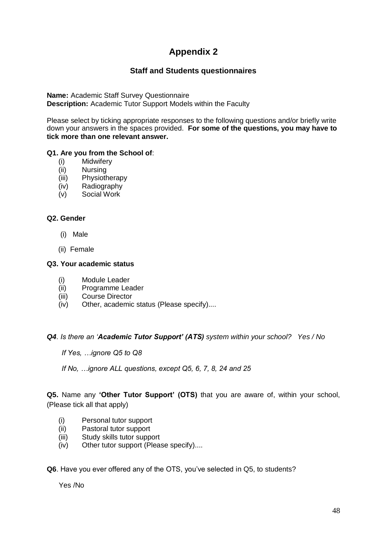# **Appendix 2**

#### **Staff and Students questionnaires**

**Name:** Academic Staff Survey Questionnaire **Description:** Academic Tutor Support Models within the Faculty

Please select by ticking appropriate responses to the following questions and/or briefly write down your answers in the spaces provided. **For some of the questions, you may have to tick more than one relevant answer.**

#### **Q1. Are you from the School of**:

- (i) Midwifery
- (ii) Nursing
- (iii) Physiotherapy
- (iv) Radiography
- (v) Social Work

#### **Q2. Gender**

- (i) Male
- (ii) Female

#### **Q3. Your academic status**

- (i) Module Leader
- (ii) Programme Leader
- (iii) Course Director
- (iv) Other, academic status (Please specify)....

#### *Q4. Is there an "Academic Tutor Support' (ATS) system within your school? Yes / No*

 *If Yes, …ignore Q5 to Q8*

 *If No, …ignore ALL questions, except Q5, 6, 7, 8, 24 and 25* 

**Q5.** Name any **'Other Tutor Support' (OTS)** that you are aware of, within your school, (Please tick all that apply)

- (i) Personal tutor support
- (ii) Pastoral tutor support
- (iii) Study skills tutor support
- (iv) Other tutor support (Please specify)....

**Q6**. Have you ever offered any of the OTS, you"ve selected in Q5, to students?

Yes /No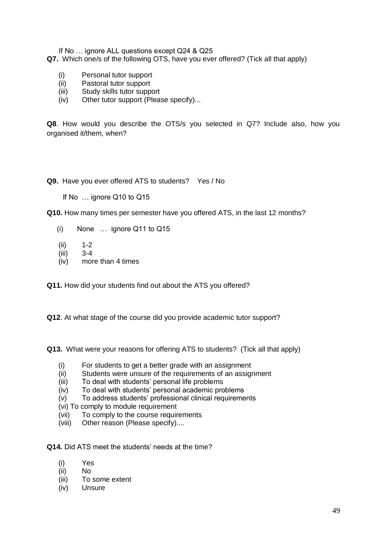If No … ignore ALL questions except Q24 & Q25

- **Q7.** Which one/s of the following OTS, have you ever offered? (Tick all that apply)
	- (i) Personal tutor support
	- (ii) Pastoral tutor support
	- (iii) Study skills tutor support
	- (iv) Other tutor support (Please specify)...

**Q8**. How would you describe the OTS/s you selected in Q7? Include also, how you organised it/them, when?

**Q9.** Have you ever offered ATS to students? Yes / No

If No … ignore Q10 to Q15

**Q10.** How many times per semester have you offered ATS, in the last 12 months?

- (i) None … ignore Q11 to Q15
- (ii) 1-2
- (iii) 3-4
- (iv) more than 4 times

**Q11.** How did your students find out about the ATS you offered?

**Q12**. At what stage of the course did you provide academic tutor support?

**Q13.** What were your reasons for offering ATS to students? (Tick all that apply)

- (i) For students to get a better grade with an assignment
- (ii) Students were unsure of the requirements of an assignment
- (iii) To deal with students" personal life problems
- (iv) To deal with students" personal academic problems
- (v) To address students" professional clinical requirements
- (vi) To comply to module requirement
- (vii) To comply to the course requirements
- (viii) Other reason (Please specify)....

**Q14.** Did ATS meet the students' needs at the time?

- (i) Yes
- (ii) No
- (iii) To some extent
- (iv) Unsure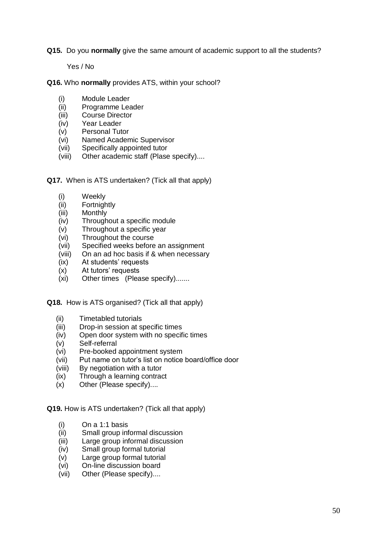**Q15.** Do you **normally** give the same amount of academic support to all the students?

Yes / No

**Q16.** Who **normally** provides ATS, within your school?

- (i) Module Leader
- (ii) Programme Leader
- (iii) Course Director
- (iv) Year Leader
- (v) Personal Tutor
- (vi) Named Academic Supervisor
- (vii) Specifically appointed tutor
- (viii) Other academic staff (Plase specify)....
- **Q17.** When is ATS undertaken? (Tick all that apply)
	- (i) Weekly
	- (ii) Fortnightly
	- (iii) Monthly
	- (iv) Throughout a specific module
	- (v) Throughout a specific year
	- (vi) Throughout the course
	- (vii) Specified weeks before an assignment
	- (viii) On an ad hoc basis if & when necessary
	- (ix) At students" requests
	- (x) At tutors" requests
	- (xi) Other times (Please specify).......

**Q18.** How is ATS organised? (Tick all that apply)

- (ii) Timetabled tutorials
- (iii) Drop-in session at specific times
- (iv) Open door system with no specific times
- (v) Self-referral
- (vi) Pre-booked appointment system
- (vii) Put name on tutor"s list on notice board/office door
- (viii) By negotiation with a tutor
- (ix) Through a learning contract
- (x) Other (Please specify)....

**Q19.** How is ATS undertaken? (Tick all that apply)

- (i) On a 1:1 basis
- (ii) Small group informal discussion
- (iii) Large group informal discussion
- (iv) Small group formal tutorial
- (v) Large group formal tutorial
- (vi) On-line discussion board
- (vii) Other (Please specify)....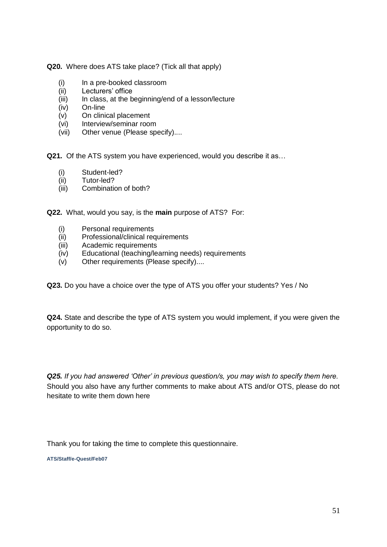**Q20.** Where does ATS take place? (Tick all that apply)

- (i) In a pre-booked classroom
- (ii) Lecturers" office
- (iii) In class, at the beginning/end of a lesson/lecture
- (iv) On-line
- (v) On clinical placement
- (vi) Interview/seminar room
- (vii) Other venue (Please specify)....

**Q21.** Of the ATS system you have experienced, would you describe it as…

- (i) Student-led?
- (ii) Tutor-led?
- (iii) Combination of both?

**Q22.** What, would you say, is the **main** purpose of ATS? For:

- (i) Personal requirements
- (ii) Professional/clinical requirements
- (iii) Academic requirements
- (iv) Educational (teaching/learning needs) requirements
- (v) Other requirements (Please specify)....

**Q23.** Do you have a choice over the type of ATS you offer your students? Yes / No

**Q24.** State and describe the type of ATS system you would implement, if you were given the opportunity to do so.

*Q25. If you had answered "Other" in previous question/s, you may wish to specify them here.* Should you also have any further comments to make about ATS and/or OTS, please do not hesitate to write them down here

Thank you for taking the time to complete this questionnaire.

**ATS/Staff/e-Quest/Feb07**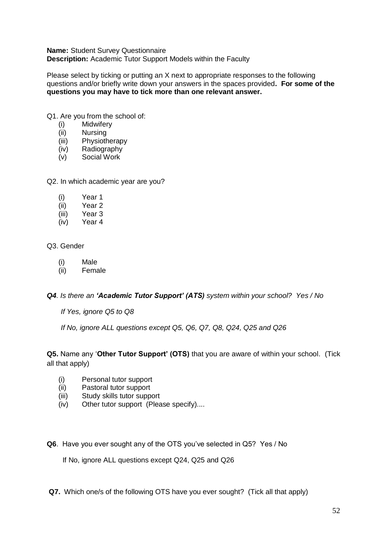**Name:** Student Survey Questionnaire **Description:** Academic Tutor Support Models within the Faculty

Please select by ticking or putting an X next to appropriate responses to the following questions and/or briefly write down your answers in the spaces provided**. For some of the questions you may have to tick more than one relevant answer.**

- Q1. Are you from the school of:
	- (i) Midwifery<br>(ii) Nursing
	- Nursing
	- (iii) Physiotherapy
	- (iv) Radiography
	- (v) Social Work

Q2. In which academic year are you?

- (i) Year 1
- (ii) Year 2
- (iii) Year 3
- (iv) Year 4

### Q3. Gender

- (i) Male
- (ii) Female

*Q4. Is there an 'Academic Tutor Support' (ATS) system within your school? Yes / No* 

 *If Yes, ignore Q5 to Q8*

 *If No, ignore ALL questions except Q5, Q6, Q7, Q8, Q24, Q25 and Q26* 

#### **Q5.** Name any "**Other Tutor Support' (OTS)** that you are aware of within your school. (Tick all that apply)

- (i) Personal tutor support
- (ii) Pastoral tutor support
- (iii) Study skills tutor support
- (iv) Other tutor support (Please specify)....
- **Q6**. Have you ever sought any of the OTS you"ve selected in Q5? Yes / No

If No, ignore ALL questions except Q24, Q25 and Q26

**Q7.** Which one/s of the following OTS have you ever sought? (Tick all that apply)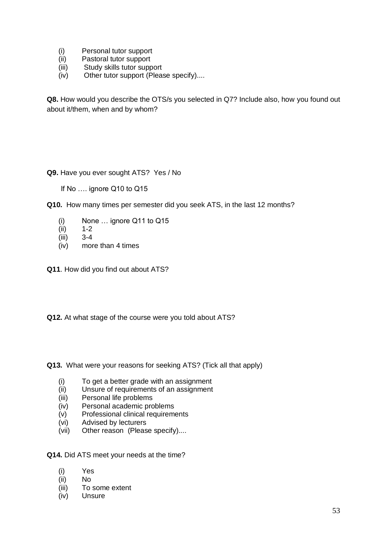- (i) Personal tutor support
- (ii) Pastoral tutor support
- (iii) Study skills tutor support
- (iv) Other tutor support (Please specify)....

**Q8.** How would you describe the OTS/s you selected in Q7? Include also, how you found out about it/them, when and by whom?

#### **Q9.** Have you ever sought ATS? Yes / No

- If No .... ignore Q10 to Q15
- **Q10.** How many times per semester did you seek ATS, in the last 12 months?
	- (i) None ... ignore Q11 to Q15<br>(ii)  $1-2$
	- $1 2$
	- (iii) 3-4
	- (iv) more than 4 times
- **Q11**. How did you find out about ATS?
- **Q12.** At what stage of the course were you told about ATS?
- **Q13.** What were your reasons for seeking ATS? (Tick all that apply)
	- (i) To get a better grade with an assignment
	- (ii) Unsure of requirements of an assignment
	- (iii) Personal life problems
	- (iv) Personal academic problems
	- (v) Professional clinical requirements
	- (vi) Advised by lecturers
	- (vii) Other reason (Please specify)....
- **Q14.** Did ATS meet your needs at the time?
	- (i) Yes
	- (ii) No
	- (iii) To some extent
	- (iv) Unsure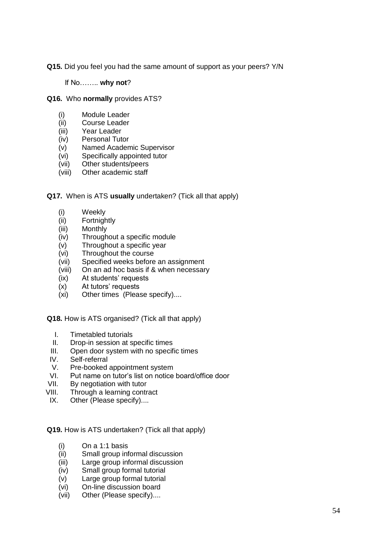**Q15.** Did you feel you had the same amount of support as your peers? Y/N

If No…….. **why not**?

- **Q16.** Who **normally** provides ATS?
	- (i) Module Leader
	- (ii) Course Leader
	- (iii) Year Leader
	- (iv) Personal Tutor
	- (v) Named Academic Supervisor
	- (vi) Specifically appointed tutor
	- (vii) Other students/peers
	- (viii) Other academic staff
- **Q17.** When is ATS **usually** undertaken? (Tick all that apply)
	- (i) Weekly
	- (ii) Fortnightly
	- (iii) Monthly
	- (iv) Throughout a specific module
	- (v) Throughout a specific year
	- (vi) Throughout the course
	- (vii) Specified weeks before an assignment
	- (viii) On an ad hoc basis if & when necessary
	- (ix) At students' requests
	- (x) At tutors" requests
	- (xi) Other times (Please specify)....

**Q18.** How is ATS organised? (Tick all that apply)

- I. Timetabled tutorials
- II. Drop-in session at specific times
- III. Open door system with no specific times
- IV. Self-referral
- V. Pre-booked appointment system
- VI. Put name on tutor"s list on notice board/office door
- VII. By negotiation with tutor
- VIII. Through a learning contract
- IX. Other (Please specify)....

**Q19.** How is ATS undertaken? (Tick all that apply)

- (i) On a 1:1 basis
- (ii) Small group informal discussion
- (iii) Large group informal discussion
- (iv) Small group formal tutorial
- (v) Large group formal tutorial
- (vi) On-line discussion board
- (vii) Other (Please specify)....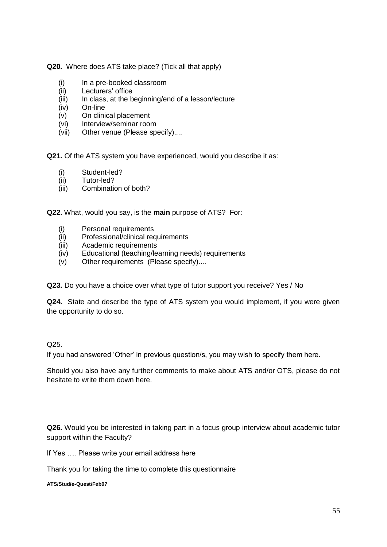**Q20.** Where does ATS take place? (Tick all that apply)

- (i) In a pre-booked classroom
- (ii) Lecturers" office
- (iii) In class, at the beginning/end of a lesson/lecture
- (iv) On-line
- (v) On clinical placement
- (vi) Interview/seminar room
- (vii) Other venue (Please specify)....

**Q21.** Of the ATS system you have experienced, would you describe it as:

- (i) Student-led?
- (ii) Tutor-led?
- (iii) Combination of both?

**Q22.** What, would you say, is the **main** purpose of ATS? For:

- (i) Personal requirements
- (ii) Professional/clinical requirements
- (iii) Academic requirements
- (iv) Educational (teaching/learning needs) requirements
- (v) Other requirements (Please specify)....

**Q23.** Do you have a choice over what type of tutor support you receive? Yes / No

**Q24.** State and describe the type of ATS system you would implement, if you were given the opportunity to do so.

#### Q25.

If you had answered "Other" in previous question/s, you may wish to specify them here.

Should you also have any further comments to make about ATS and/or OTS, please do not hesitate to write them down here.

**Q26.** Would you be interested in taking part in a focus group interview about academic tutor support within the Faculty?

If Yes …. Please write your email address here

Thank you for taking the time to complete this questionnaire

**ATS/Stud/e-Quest/Feb07**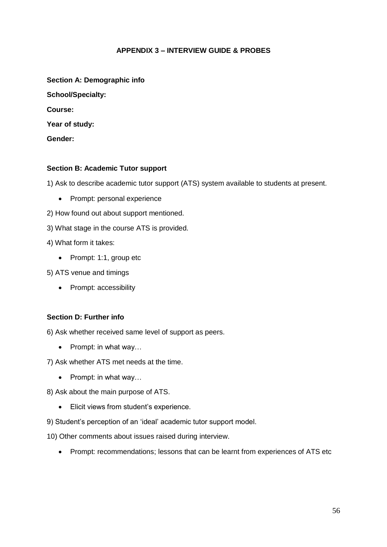#### **APPENDIX 3 – INTERVIEW GUIDE & PROBES**

| Section A: Demographic info |
|-----------------------------|
| <b>School/Specialty:</b>    |
| Course:                     |
| Year of study:              |
| Gender:                     |

#### **Section B: Academic Tutor support**

1) Ask to describe academic tutor support (ATS) system available to students at present.

• Prompt: personal experience

2) How found out about support mentioned.

3) What stage in the course ATS is provided.

4) What form it takes:

• Prompt: 1:1, group etc

5) ATS venue and timings

• Prompt: accessibility

#### **Section D: Further info**

6) Ask whether received same level of support as peers.

 $\bullet$  Prompt: in what way...

7) Ask whether ATS met needs at the time.

• Prompt: in what way...

8) Ask about the main purpose of ATS.

Elicit views from student"s experience.

9) Student"s perception of an "ideal" academic tutor support model.

10) Other comments about issues raised during interview.

• Prompt: recommendations: lessons that can be learnt from experiences of ATS etc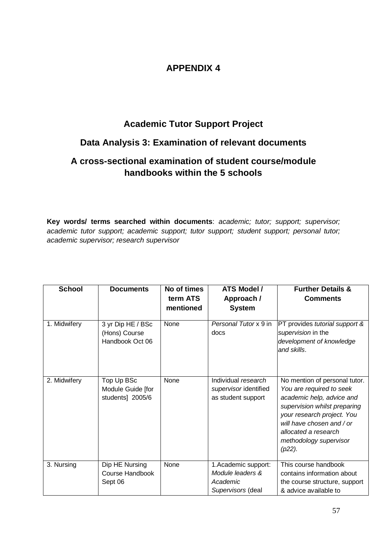# **APPENDIX 4**

## **Academic Tutor Support Project**

# **Data Analysis 3: Examination of relevant documents**

# **A cross-sectional examination of student course/module handbooks within the 5 schools**

**Key words/ terms searched within documents**: *academic; tutor; support; supervisor; academic tutor support; academic support; tutor support; student support; personal tutor; academic supervisor; research supervisor*

| <b>School</b> | <b>Documents</b>                                      | No of times<br>term ATS<br>mentioned | ATS Model /<br>Approach /<br><b>System</b>                                | <b>Further Details &amp;</b><br><b>Comments</b>                                                                                                                                                                                                  |
|---------------|-------------------------------------------------------|--------------------------------------|---------------------------------------------------------------------------|--------------------------------------------------------------------------------------------------------------------------------------------------------------------------------------------------------------------------------------------------|
| 1. Midwifery  | 3 yr Dip HE / BSc<br>(Hons) Course<br>Handbook Oct 06 | None                                 | Personal Tutor x 9 in<br>docs                                             | PT provides tutorial support &<br>supervision in the<br>development of knowledge<br>and skills.                                                                                                                                                  |
| 2. Midwifery  | Top Up BSc<br>Module Guide [for<br>students] 2005/6   | None                                 | Individual research<br>supervisor identified<br>as student support        | No mention of personal tutor.<br>You are required to seek<br>academic help, advice and<br>supervision whilst preparing<br>your research project. You<br>will have chosen and / or<br>allocated a research<br>methodology supervisor<br>$(p22)$ . |
| 3. Nursing    | Dip HE Nursing<br>Course Handbook<br>Sept 06          | None                                 | 1. Academic support:<br>Module leaders &<br>Academic<br>Supervisors (deal | This course handbook<br>contains information about<br>the course structure, support<br>& advice available to                                                                                                                                     |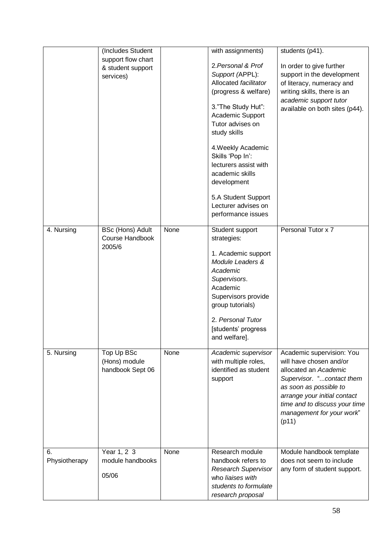|               | (Includes Student  |      | with assignments)          | students (p41).                |
|---------------|--------------------|------|----------------------------|--------------------------------|
|               | support flow chart |      |                            |                                |
|               | & student support  |      | 2. Personal & Prof         | In order to give further       |
|               | services)          |      | Support (APPL):            | support in the development     |
|               |                    |      | Allocated facilitator      | of literacy, numeracy and      |
|               |                    |      | (progress & welfare)       | writing skills, there is an    |
|               |                    |      |                            | academic support tutor         |
|               |                    |      | 3."The Study Hut":         | available on both sites (p44). |
|               |                    |      | Academic Support           |                                |
|               |                    |      | Tutor advises on           |                                |
|               |                    |      | study skills               |                                |
|               |                    |      |                            |                                |
|               |                    |      | 4. Weekly Academic         |                                |
|               |                    |      | Skills 'Pop In':           |                                |
|               |                    |      | lecturers assist with      |                                |
|               |                    |      | academic skills            |                                |
|               |                    |      | development                |                                |
|               |                    |      | 5.A Student Support        |                                |
|               |                    |      | Lecturer advises on        |                                |
|               |                    |      |                            |                                |
|               |                    |      | performance issues         |                                |
| 4. Nursing    | BSc (Hons) Adult   | None | Student support            | Personal Tutor x 7             |
|               | Course Handbook    |      | strategies:                |                                |
|               | 2005/6             |      |                            |                                |
|               |                    |      | 1. Academic support        |                                |
|               |                    |      | Module Leaders &           |                                |
|               |                    |      | Academic                   |                                |
|               |                    |      | Supervisors.               |                                |
|               |                    |      | Academic                   |                                |
|               |                    |      | Supervisors provide        |                                |
|               |                    |      | group tutorials)           |                                |
|               |                    |      |                            |                                |
|               |                    |      | 2. Personal Tutor          |                                |
|               |                    |      | [students' progress        |                                |
|               |                    |      | and welfare].              |                                |
| 5. Nursing    | Top Up BSc         | None | Academic supervisor        | Academic supervision: You      |
|               |                    |      |                            | will have chosen and/or        |
|               | (Hons) module      |      | with multiple roles,       |                                |
|               | handbook Sept 06   |      | identified as student      | allocated an Academic          |
|               |                    |      | support                    | Supervisor. "contact them      |
|               |                    |      |                            | as soon as possible to         |
|               |                    |      |                            | arrange your initial contact   |
|               |                    |      |                            | time and to discuss your time  |
|               |                    |      |                            | management for your work"      |
|               |                    |      |                            | (p11)                          |
|               |                    |      |                            |                                |
|               |                    |      |                            |                                |
| 6.            | Year 1, 2 3        | None | Research module            | Module handbook template       |
| Physiotherapy | module handbooks   |      | handbook refers to         | does not seem to include       |
|               |                    |      | <b>Research Supervisor</b> | any form of student support.   |
|               | 05/06              |      | who liaises with           |                                |
|               |                    |      | students to formulate      |                                |
|               |                    |      | research proposal          |                                |
|               |                    |      |                            |                                |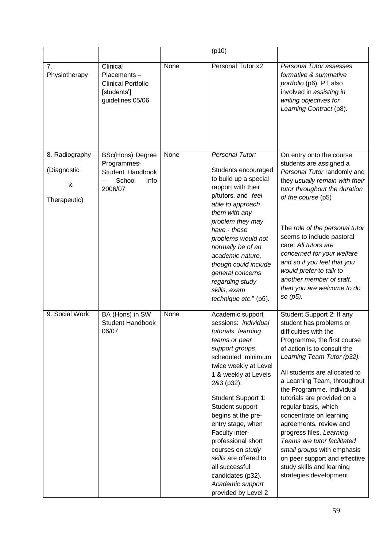|                                                    |                                                                                         |      | (p10)                                                                                                                                                                                                                                                                                                                                                                                                                                              |                                                                                                                                                                                                                                                                                                                                                                                                                                                                                                                                                                      |
|----------------------------------------------------|-----------------------------------------------------------------------------------------|------|----------------------------------------------------------------------------------------------------------------------------------------------------------------------------------------------------------------------------------------------------------------------------------------------------------------------------------------------------------------------------------------------------------------------------------------------------|----------------------------------------------------------------------------------------------------------------------------------------------------------------------------------------------------------------------------------------------------------------------------------------------------------------------------------------------------------------------------------------------------------------------------------------------------------------------------------------------------------------------------------------------------------------------|
| 7.<br>Physiotherapy                                | Clinical<br>Placements-<br><b>Clinical Portfolio</b><br>[students']<br>guidelines 05/06 | None | Personal Tutor x2                                                                                                                                                                                                                                                                                                                                                                                                                                  | Personal Tutor assesses<br>formative & summative<br>portfolio (p6). PT also<br>involved in assisting in<br>writing objectives for<br>Learning Contract (p8).                                                                                                                                                                                                                                                                                                                                                                                                         |
| 8. Radiography<br>(Diagnostic<br>&<br>Therapeutic) | <b>BSc(Hons) Degree</b><br>Programmes-<br>Student Handbook<br>School<br>Info<br>2006/07 | None | Personal Tutor:<br>Students encouraged<br>to build up a special<br>rapport with their<br>p/tutors, and "feel<br>able to approach<br>them with any<br>problem they may                                                                                                                                                                                                                                                                              | On entry onto the course<br>students are assigned a<br>Personal Tutor randomly and<br>they usually remain with their<br>tutor throughout the duration<br>of the course (p5)                                                                                                                                                                                                                                                                                                                                                                                          |
|                                                    |                                                                                         |      | have - these<br>problems would not<br>normally be of an<br>academic nature,<br>though could include<br>general concerns<br>regarding study<br>skills, exam<br>technique etc." (p5).                                                                                                                                                                                                                                                                | The role of the personal tutor<br>seems to include pastoral<br>care: All tutors are<br>concerned for your welfare<br>and so if you feel that you<br>would prefer to talk to<br>another member of staff,<br>then you are welcome to do<br>so (p5).                                                                                                                                                                                                                                                                                                                    |
| 9. Social Work                                     | BA (Hons) in SW<br><b>Student Handbook</b><br>06/07                                     | None | Academic support<br>sessions: individual<br>tutorials, learning<br>teams or peer<br>support groups,<br>scheduled minimum<br>twice weekly at Level<br>1 & weekly at Levels<br>2&3 (p32).<br>Student Support 1:<br>Student support<br>begins at the pre-<br>entry stage, when<br>Faculty inter-<br>professional short<br>courses on study<br>skills are offered to<br>all successful<br>candidates (p32).<br>Academic support<br>provided by Level 2 | Student Support 2: If any<br>student has problems or<br>difficulties with the<br>Programme, the first course<br>of action is to consult the<br>Learning Team Tutor (p32).<br>All students are allocated to<br>a Learning Team, throughout<br>the Programme. Individual<br>tutorials are provided on a<br>regular basis, which<br>concentrate on learning<br>agreements, review and<br>progress files. Learning<br>Teams are tutor facilitated<br>small groups with emphasis<br>on peer support and effective<br>study skills and learning<br>strategies development. |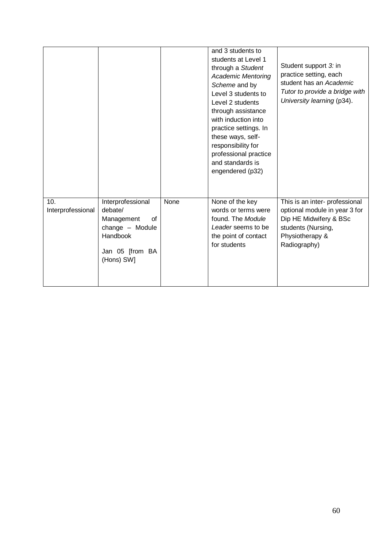|                          |                                                                                                                  |      | and 3 students to<br>students at Level 1<br>through a Student<br><b>Academic Mentoring</b><br>Scheme and by<br>Level 3 students to<br>Level 2 students<br>through assistance<br>with induction into<br>practice settings. In<br>these ways, self-<br>responsibility for<br>professional practice<br>and standards is<br>engendered (p32) | Student support 3: in<br>practice setting, each<br>student has an Academic<br>Tutor to provide a bridge with<br>University learning (p34).         |
|--------------------------|------------------------------------------------------------------------------------------------------------------|------|------------------------------------------------------------------------------------------------------------------------------------------------------------------------------------------------------------------------------------------------------------------------------------------------------------------------------------------|----------------------------------------------------------------------------------------------------------------------------------------------------|
| 10.<br>Interprofessional | Interprofessional<br>debate/<br>Management<br>of<br>change - Module<br>Handbook<br>Jan 05 [from BA<br>(Hons) SW] | None | None of the key<br>words or terms were<br>found. The Module<br>Leader seems to be<br>the point of contact<br>for students                                                                                                                                                                                                                | This is an inter- professional<br>optional module in year 3 for<br>Dip HE Midwifery & BSc<br>students (Nursing,<br>Physiotherapy &<br>Radiography) |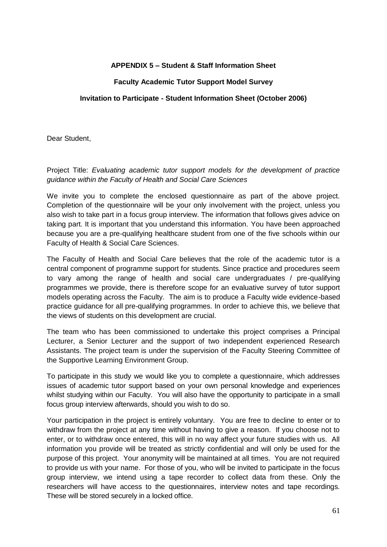#### **APPENDIX 5 – Student & Staff Information Sheet**

#### **Faculty Academic Tutor Support Model Survey**

#### **Invitation to Participate - Student Information Sheet (October 2006)**

Dear Student,

Project Title: *Evaluating academic tutor support models for the development of practice guidance within the Faculty of Health and Social Care Sciences*

We invite you to complete the enclosed questionnaire as part of the above project. Completion of the questionnaire will be your only involvement with the project, unless you also wish to take part in a focus group interview. The information that follows gives advice on taking part. It is important that you understand this information. You have been approached because you are a pre-qualifying healthcare student from one of the five schools within our Faculty of Health & Social Care Sciences.

The Faculty of Health and Social Care believes that the role of the academic tutor is a central component of programme support for students. Since practice and procedures seem to vary among the range of health and social care undergraduates / pre-qualifying programmes we provide, there is therefore scope for an evaluative survey of tutor support models operating across the Faculty. The aim is to produce a Faculty wide evidence-based practice guidance for all pre-qualifying programmes. In order to achieve this, we believe that the views of students on this development are crucial.

The team who has been commissioned to undertake this project comprises a Principal Lecturer, a Senior Lecturer and the support of two independent experienced Research Assistants. The project team is under the supervision of the Faculty Steering Committee of the Supportive Learning Environment Group.

To participate in this study we would like you to complete a questionnaire, which addresses issues of academic tutor support based on your own personal knowledge and experiences whilst studying within our Faculty. You will also have the opportunity to participate in a small focus group interview afterwards, should you wish to do so.

Your participation in the project is entirely voluntary. You are free to decline to enter or to withdraw from the project at any time without having to give a reason. If you choose not to enter, or to withdraw once entered, this will in no way affect your future studies with us. All information you provide will be treated as strictly confidential and will only be used for the purpose of this project. Your anonymity will be maintained at all times. You are not required to provide us with your name. For those of you, who will be invited to participate in the focus group interview, we intend using a tape recorder to collect data from these. Only the researchers will have access to the questionnaires, interview notes and tape recordings. These will be stored securely in a locked office.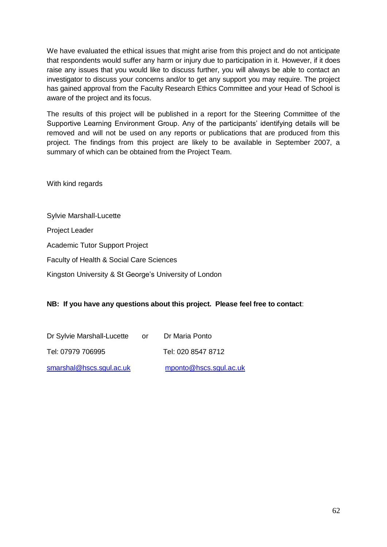We have evaluated the ethical issues that might arise from this project and do not anticipate that respondents would suffer any harm or injury due to participation in it. However, if it does raise any issues that you would like to discuss further, you will always be able to contact an investigator to discuss your concerns and/or to get any support you may require. The project has gained approval from the Faculty Research Ethics Committee and your Head of School is aware of the project and its focus.

The results of this project will be published in a report for the Steering Committee of the Supportive Learning Environment Group. Any of the participants' identifying details will be removed and will not be used on any reports or publications that are produced from this project. The findings from this project are likely to be available in September 2007, a summary of which can be obtained from the Project Team.

With kind regards

Sylvie Marshall-Lucette

Project Leader

Academic Tutor Support Project

Faculty of Health & Social Care Sciences

Kingston University & St George"s University of London

#### **NB: If you have any questions about this project. Please feel free to contact**:

| Dr Sylvie Marshall-Lucette | or | Dr Maria Ponto         |
|----------------------------|----|------------------------|
| Tel: 07979 706995          |    | Tel: 020 8547 8712     |
| smarshal@hscs.squl.ac.uk   |    | mponto@hscs.sgul.ac.uk |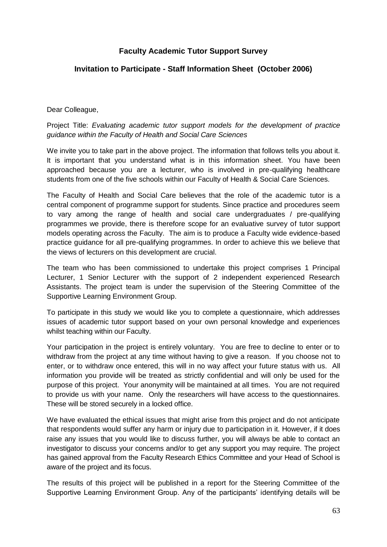#### **Faculty Academic Tutor Support Survey**

#### **Invitation to Participate - Staff Information Sheet (October 2006)**

#### Dear Colleague,

#### Project Title: *Evaluating academic tutor support models for the development of practice guidance within the Faculty of Health and Social Care Sciences*

We invite you to take part in the above project. The information that follows tells you about it. It is important that you understand what is in this information sheet. You have been approached because you are a lecturer, who is involved in pre-qualifying healthcare students from one of the five schools within our Faculty of Health & Social Care Sciences.

The Faculty of Health and Social Care believes that the role of the academic tutor is a central component of programme support for students. Since practice and procedures seem to vary among the range of health and social care undergraduates / pre-qualifying programmes we provide, there is therefore scope for an evaluative survey of tutor support models operating across the Faculty. The aim is to produce a Faculty wide evidence-based practice guidance for all pre-qualifying programmes. In order to achieve this we believe that the views of lecturers on this development are crucial.

The team who has been commissioned to undertake this project comprises 1 Principal Lecturer, 1 Senior Lecturer with the support of 2 independent experienced Research Assistants. The project team is under the supervision of the Steering Committee of the Supportive Learning Environment Group.

To participate in this study we would like you to complete a questionnaire, which addresses issues of academic tutor support based on your own personal knowledge and experiences whilst teaching within our Faculty.

Your participation in the project is entirely voluntary. You are free to decline to enter or to withdraw from the project at any time without having to give a reason. If you choose not to enter, or to withdraw once entered, this will in no way affect your future status with us. All information you provide will be treated as strictly confidential and will only be used for the purpose of this project. Your anonymity will be maintained at all times. You are not required to provide us with your name. Only the researchers will have access to the questionnaires. These will be stored securely in a locked office.

We have evaluated the ethical issues that might arise from this project and do not anticipate that respondents would suffer any harm or injury due to participation in it. However, if it does raise any issues that you would like to discuss further, you will always be able to contact an investigator to discuss your concerns and/or to get any support you may require. The project has gained approval from the Faculty Research Ethics Committee and your Head of School is aware of the project and its focus.

The results of this project will be published in a report for the Steering Committee of the Supportive Learning Environment Group. Any of the participants" identifying details will be